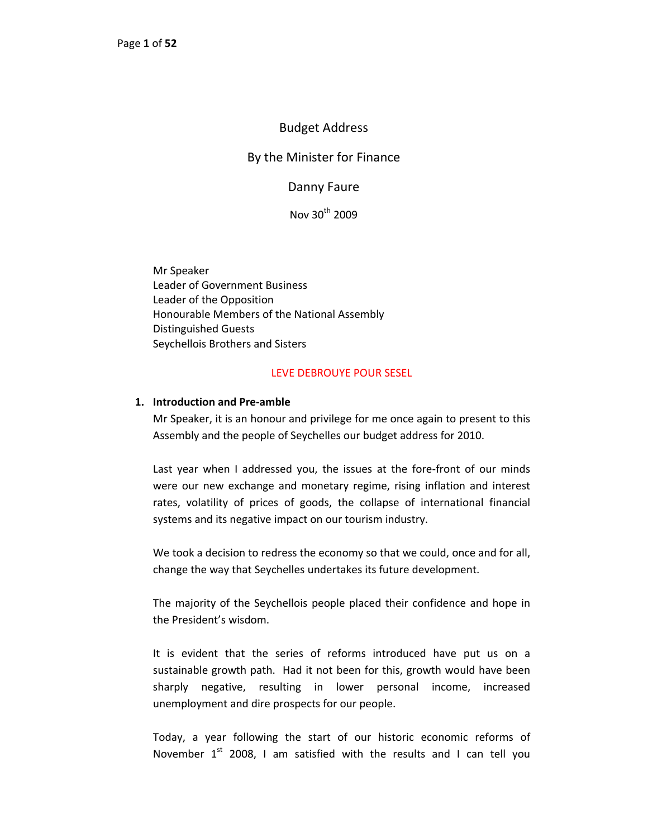# Budget Address

# By the Minister for Finance

Danny Faure

Nov 30<sup>th</sup> 2009

Mr Speaker Leader of Government Business Leader of the Opposition Honourable Members of the National Assembly Distinguished Guests Seychellois Brothers and Sisters

#### LEVE DEBROUYE POUR SESEL

#### **1. Introduction and Pre‐amble**

Mr Speaker, it is an honour and privilege for me once again to present to this Assembly and the people of Seychelles our budget address for 2010.

Last year when I addressed you, the issues at the fore-front of our minds were our new exchange and monetary regime, rising inflation and interest rates, volatility of prices of goods, the collapse of international financial systems and its negative impact on our tourism industry.

We took a decision to redress the economy so that we could, once and for all, change the way that Seychelles undertakes its future development.

The majority of the Seychellois people placed their confidence and hope in the President's wisdom.

It is evident that the series of reforms introduced have put us on a sustainable growth path. Had it not been for this, growth would have been sharply negative, resulting in lower personal income, increased unemployment and dire prospects for our people.

Today, a year following the start of our historic economic reforms of November  $1<sup>st</sup>$  2008, I am satisfied with the results and I can tell you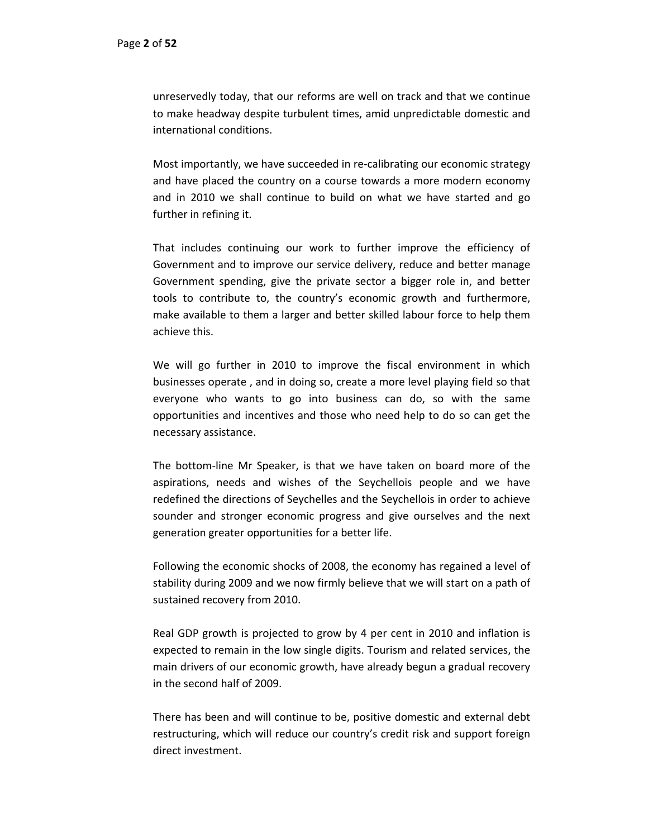unreservedly today, that our reforms are well on track and that we continue to make headway despite turbulent times, amid unpredictable domestic and international conditions.

Most importantly, we have succeeded in re-calibrating our economic strategy and have placed the country on a course towards a more modern economy and in 2010 we shall continue to build on what we have started and go further in refining it.

That includes continuing our work to further improve the efficiency of Government and to improve our service delivery, reduce and better manage Government spending, give the private sector a bigger role in, and better tools to contribute to, the country's economic growth and furthermore, make available to them a larger and better skilled labour force to help them achieve this.

We will go further in 2010 to improve the fiscal environment in which businesses operate , and in doing so, create a more level playing field so that everyone who wants to go into business can do, so with the same opportunities and incentives and those who need help to do so can get the necessary assistance.

The bottom‐line Mr Speaker, is that we have taken on board more of the aspirations, needs and wishes of the Seychellois people and we have redefined the directions of Seychelles and the Seychellois in order to achieve sounder and stronger economic progress and give ourselves and the next generation greater opportunities for a better life.

Following the economic shocks of 2008, the economy has regained a level of stability during 2009 and we now firmly believe that we will start on a path of sustained recovery from 2010.

Real GDP growth is projected to grow by 4 per cent in 2010 and inflation is expected to remain in the low single digits. Tourism and related services, the main drivers of our economic growth, have already begun a gradual recovery in the second half of 2009.

There has been and will continue to be, positive domestic and external debt restructuring, which will reduce our country's credit risk and support foreign direct investment.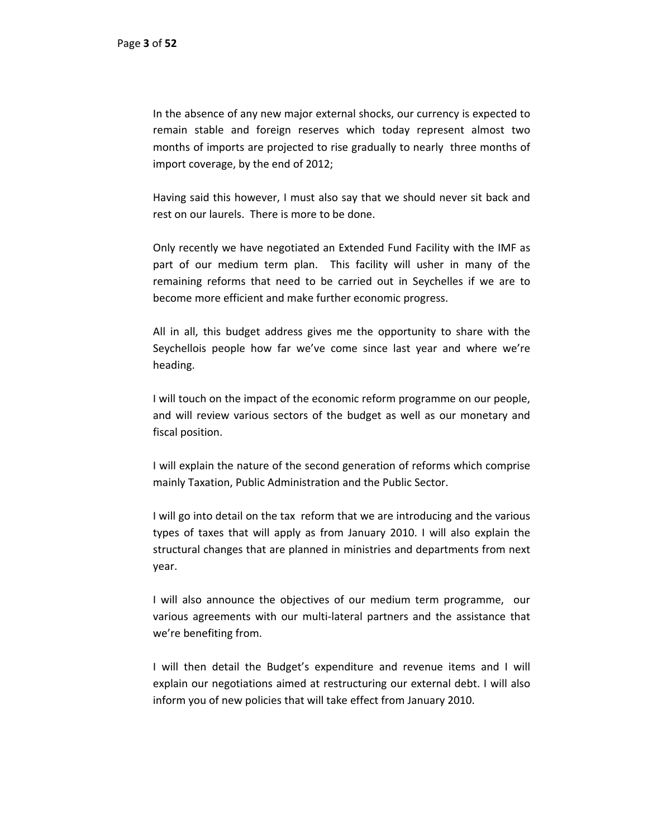In the absence of any new major external shocks, our currency is expected to remain stable and foreign reserves which today represent almost two months of imports are projected to rise gradually to nearly three months of import coverage, by the end of 2012;

Having said this however, I must also say that we should never sit back and rest on our laurels. There is more to be done.

Only recently we have negotiated an Extended Fund Facility with the IMF as part of our medium term plan. This facility will usher in many of the remaining reforms that need to be carried out in Seychelles if we are to become more efficient and make further economic progress.

All in all, this budget address gives me the opportunity to share with the Seychellois people how far we've come since last year and where we're heading.

I will touch on the impact of the economic reform programme on our people, and will review various sectors of the budget as well as our monetary and fiscal position.

I will explain the nature of the second generation of reforms which comprise mainly Taxation, Public Administration and the Public Sector.

I will go into detail on the tax reform that we are introducing and the various types of taxes that will apply as from January 2010. I will also explain the structural changes that are planned in ministries and departments from next year.

I will also announce the objectives of our medium term programme, our various agreements with our multi‐lateral partners and the assistance that we're benefiting from.

I will then detail the Budget's expenditure and revenue items and I will explain our negotiations aimed at restructuring our external debt. I will also inform you of new policies that will take effect from January 2010.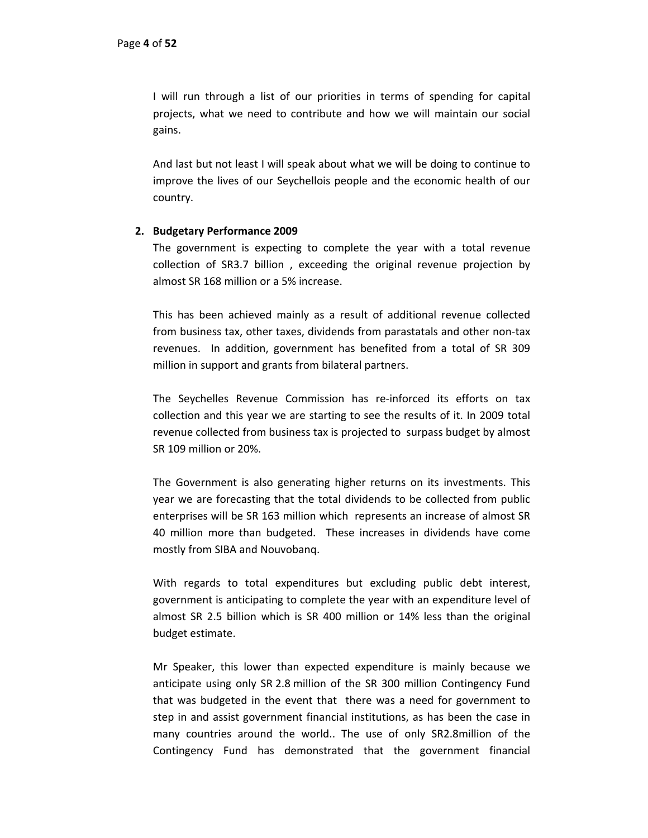I will run through a list of our priorities in terms of spending for capital projects, what we need to contribute and how we will maintain our social gains.

And last but not least I will speak about what we will be doing to continue to improve the lives of our Seychellois people and the economic health of our country.

# **2. Budgetary Performance 2009**

The government is expecting to complete the year with a total revenue collection of SR3.7 billion , exceeding the original revenue projection by almost SR 168 million or a 5% increase.

This has been achieved mainly as a result of additional revenue collected from business tax, other taxes, dividends from parastatals and other non‐tax revenues. In addition, government has benefited from a total of SR 309 million in support and grants from bilateral partners.

The Seychelles Revenue Commission has re-inforced its efforts on tax collection and this year we are starting to see the results of it. In 2009 total revenue collected from business tax is projected to surpass budget by almost SR 109 million or 20%.

The Government is also generating higher returns on its investments. This year we are forecasting that the total dividends to be collected from public enterprises will be SR 163 million which represents an increase of almost SR 40 million more than budgeted. These increases in dividends have come mostly from SIBA and Nouvobanq.

With regards to total expenditures but excluding public debt interest, government is anticipating to complete the year with an expenditure level of almost SR 2.5 billion which is SR 400 million or 14% less than the original budget estimate.

Mr Speaker, this lower than expected expenditure is mainly because we anticipate using only SR 2.8 million of the SR 300 million Contingency Fund that was budgeted in the event that there was a need for government to step in and assist government financial institutions, as has been the case in many countries around the world.. The use of only SR2.8million of the Contingency Fund has demonstrated that the government financial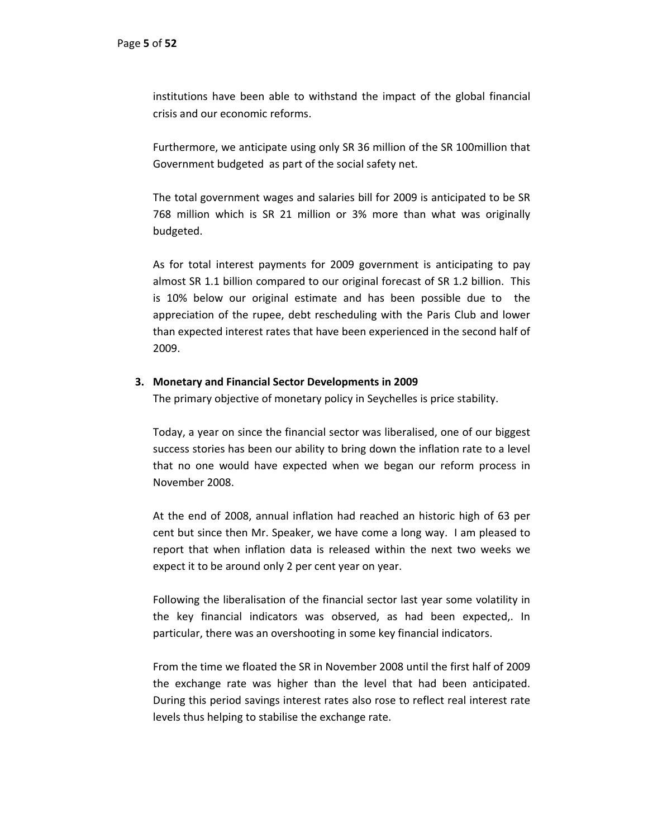institutions have been able to withstand the impact of the global financial crisis and our economic reforms.

Furthermore, we anticipate using only SR 36 million of the SR 100million that Government budgeted as part of the social safety net.

The total government wages and salaries bill for 2009 is anticipated to be SR 768 million which is SR 21 million or 3% more than what was originally budgeted.

As for total interest payments for 2009 government is anticipating to pay almost SR 1.1 billion compared to our original forecast of SR 1.2 billion. This is 10% below our original estimate and has been possible due to the appreciation of the rupee, debt rescheduling with the Paris Club and lower than expected interest rates that have been experienced in the second half of 2009.

## **3. Monetary and Financial Sector Developments in 2009**

The primary objective of monetary policy in Seychelles is price stability.

Today, a year on since the financial sector was liberalised, one of our biggest success stories has been our ability to bring down the inflation rate to a level that no one would have expected when we began our reform process in November 2008.

At the end of 2008, annual inflation had reached an historic high of 63 per cent but since then Mr. Speaker, we have come a long way. I am pleased to report that when inflation data is released within the next two weeks we expect it to be around only 2 per cent year on year.

Following the liberalisation of the financial sector last year some volatility in the key financial indicators was observed, as had been expected,. In particular, there was an overshooting in some key financial indicators.

From the time we floated the SR in November 2008 until the first half of 2009 the exchange rate was higher than the level that had been anticipated. During this period savings interest rates also rose to reflect real interest rate levels thus helping to stabilise the exchange rate.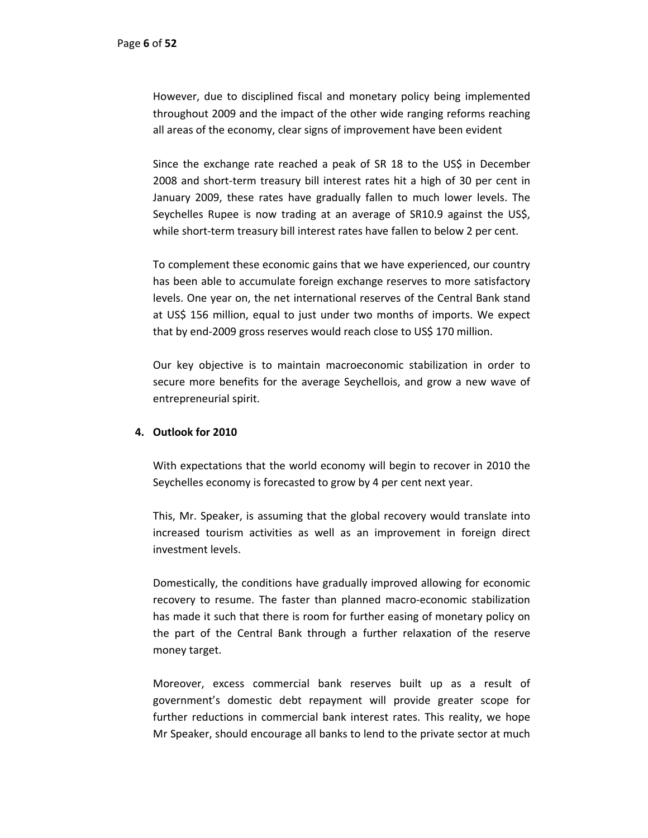However, due to disciplined fiscal and monetary policy being implemented throughout 2009 and the impact of the other wide ranging reforms reaching all areas of the economy, clear signs of improvement have been evident

Since the exchange rate reached a peak of SR 18 to the US\$ in December 2008 and short-term treasury bill interest rates hit a high of 30 per cent in January 2009, these rates have gradually fallen to much lower levels. The Seychelles Rupee is now trading at an average of SR10.9 against the US\$, while short-term treasury bill interest rates have fallen to below 2 per cent.

To complement these economic gains that we have experienced, our country has been able to accumulate foreign exchange reserves to more satisfactory levels. One year on, the net international reserves of the Central Bank stand at US\$ 156 million, equal to just under two months of imports. We expect that by end‐2009 gross reserves would reach close to US\$ 170 million.

Our key objective is to maintain macroeconomic stabilization in order to secure more benefits for the average Seychellois, and grow a new wave of entrepreneurial spirit.

# **4. Outlook for 2010**

With expectations that the world economy will begin to recover in 2010 the Seychelles economy is forecasted to grow by 4 per cent next year.

This, Mr. Speaker, is assuming that the global recovery would translate into increased tourism activities as well as an improvement in foreign direct investment levels.

Domestically, the conditions have gradually improved allowing for economic recovery to resume. The faster than planned macro‐economic stabilization has made it such that there is room for further easing of monetary policy on the part of the Central Bank through a further relaxation of the reserve money target.

Moreover, excess commercial bank reserves built up as a result of government's domestic debt repayment will provide greater scope for further reductions in commercial bank interest rates. This reality, we hope Mr Speaker, should encourage all banks to lend to the private sector at much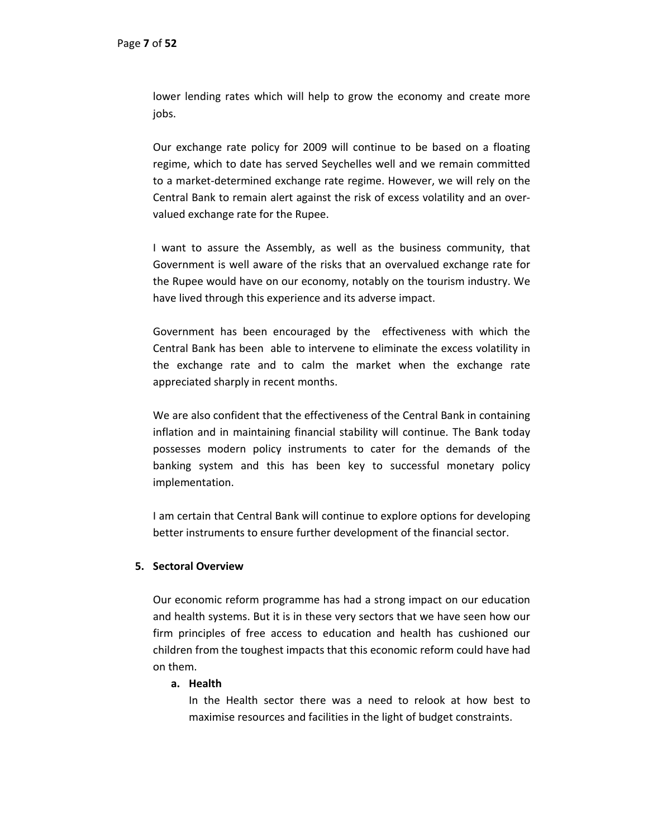lower lending rates which will help to grow the economy and create more jobs.

Our exchange rate policy for 2009 will continue to be based on a floating regime, which to date has served Seychelles well and we remain committed to a market‐determined exchange rate regime. However, we will rely on the Central Bank to remain alert against the risk of excess volatility and an over‐ valued exchange rate for the Rupee.

I want to assure the Assembly, as well as the business community, that Government is well aware of the risks that an overvalued exchange rate for the Rupee would have on our economy, notably on the tourism industry. We have lived through this experience and its adverse impact.

Government has been encouraged by the effectiveness with which the Central Bank has been able to intervene to eliminate the excess volatility in the exchange rate and to calm the market when the exchange rate appreciated sharply in recent months.

We are also confident that the effectiveness of the Central Bank in containing inflation and in maintaining financial stability will continue. The Bank today possesses modern policy instruments to cater for the demands of the banking system and this has been key to successful monetary policy implementation.

I am certain that Central Bank will continue to explore options for developing better instruments to ensure further development of the financial sector.

# **5. Sectoral Overview**

Our economic reform programme has had a strong impact on our education and health systems. But it is in these very sectors that we have seen how our firm principles of free access to education and health has cushioned our children from the toughest impacts that this economic reform could have had on them.

## **a. Health**

In the Health sector there was a need to relook at how best to maximise resources and facilities in the light of budget constraints.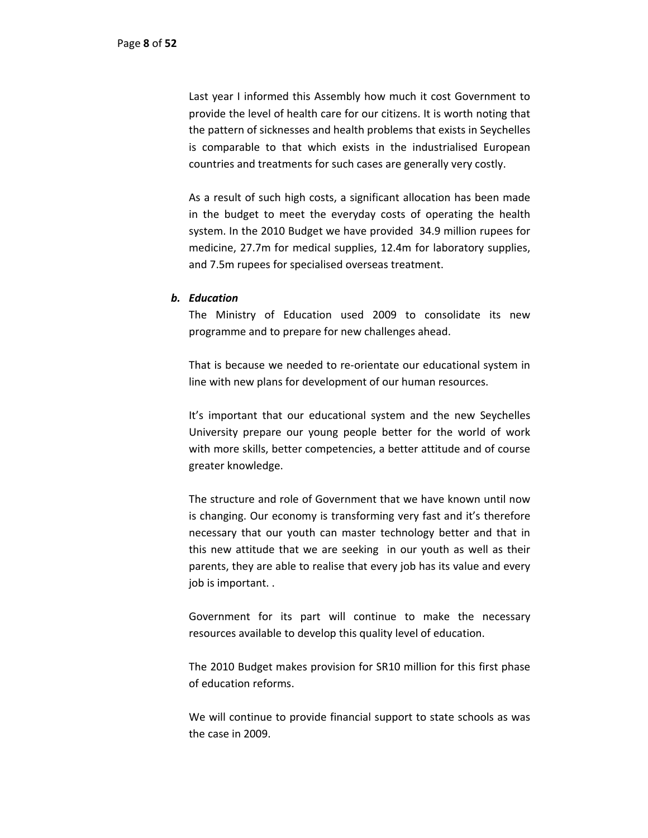Last year I informed this Assembly how much it cost Government to provide the level of health care for our citizens. It is worth noting that the pattern of sicknesses and health problems that exists in Seychelles is comparable to that which exists in the industrialised European countries and treatments for such cases are generally very costly.

As a result of such high costs, a significant allocation has been made in the budget to meet the everyday costs of operating the health system. In the 2010 Budget we have provided 34.9 million rupees for medicine, 27.7m for medical supplies, 12.4m for laboratory supplies, and 7.5m rupees for specialised overseas treatment.

#### *b. Education*

The Ministry of Education used 2009 to consolidate its new programme and to prepare for new challenges ahead.

That is because we needed to re‐orientate our educational system in line with new plans for development of our human resources.

It's important that our educational system and the new Seychelles University prepare our young people better for the world of work with more skills, better competencies, a better attitude and of course greater knowledge.

The structure and role of Government that we have known until now is changing. Our economy is transforming very fast and it's therefore necessary that our youth can master technology better and that in this new attitude that we are seeking in our youth as well as their parents, they are able to realise that every job has its value and every job is important. .

Government for its part will continue to make the necessary resources available to develop this quality level of education.

The 2010 Budget makes provision for SR10 million for this first phase of education reforms.

We will continue to provide financial support to state schools as was the case in 2009.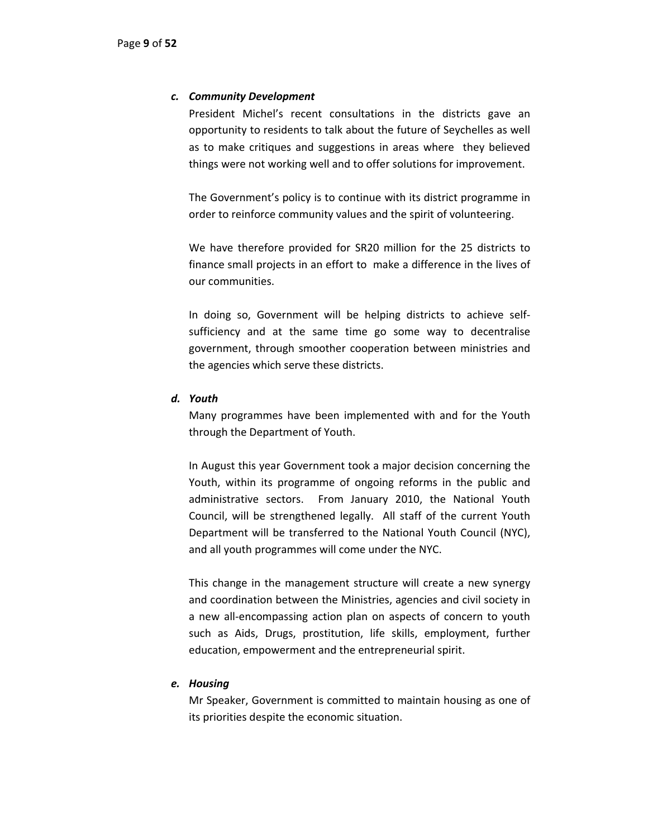## *c. Community Development*

President Michel's recent consultations in the districts gave an opportunity to residents to talk about the future of Seychelles as well as to make critiques and suggestions in areas where they believed things were not working well and to offer solutions for improvement.

The Government's policy is to continue with its district programme in order to reinforce community values and the spirit of volunteering.

We have therefore provided for SR20 million for the 25 districts to finance small projects in an effort to make a difference in the lives of our communities.

In doing so, Government will be helping districts to achieve self‐ sufficiency and at the same time go some way to decentralise government, through smoother cooperation between ministries and the agencies which serve these districts.

## *d. Youth*

Many programmes have been implemented with and for the Youth through the Department of Youth.

In August this year Government took a major decision concerning the Youth, within its programme of ongoing reforms in the public and administrative sectors. From January 2010, the National Youth Council, will be strengthened legally. All staff of the current Youth Department will be transferred to the National Youth Council (NYC), and all youth programmes will come under the NYC.

This change in the management structure will create a new synergy and coordination between the Ministries, agencies and civil society in a new all‐encompassing action plan on aspects of concern to youth such as Aids, Drugs, prostitution, life skills, employment, further education, empowerment and the entrepreneurial spirit.

## *e. Housing*

Mr Speaker, Government is committed to maintain housing as one of its priorities despite the economic situation.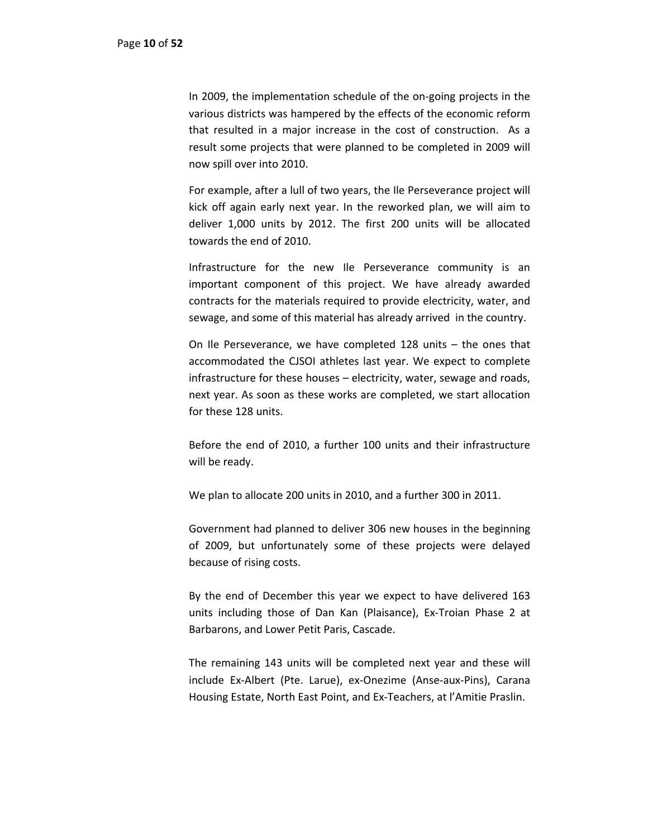In 2009, the implementation schedule of the on‐going projects in the various districts was hampered by the effects of the economic reform that resulted in a major increase in the cost of construction. As a result some projects that were planned to be completed in 2009 will now spill over into 2010.

For example, after a lull of two years, the Ile Perseverance project will kick off again early next year. In the reworked plan, we will aim to deliver 1,000 units by 2012. The first 200 units will be allocated towards the end of 2010.

Infrastructure for the new Ile Perseverance community is an important component of this project. We have already awarded contracts for the materials required to provide electricity, water, and sewage, and some of this material has already arrived in the country.

On Ile Perseverance, we have completed 128 units – the ones that accommodated the CJSOI athletes last year. We expect to complete infrastructure for these houses – electricity, water, sewage and roads, next year. As soon as these works are completed, we start allocation for these 128 units.

Before the end of 2010, a further 100 units and their infrastructure will be ready.

We plan to allocate 200 units in 2010, and a further 300 in 2011.

Government had planned to deliver 306 new houses in the beginning of 2009, but unfortunately some of these projects were delayed because of rising costs.

By the end of December this year we expect to have delivered 163 units including those of Dan Kan (Plaisance), Ex‐Troian Phase 2 at Barbarons, and Lower Petit Paris, Cascade.

The remaining 143 units will be completed next year and these will include Ex‐Albert (Pte. Larue), ex‐Onezime (Anse‐aux‐Pins), Carana Housing Estate, North East Point, and Ex‐Teachers, at l'Amitie Praslin.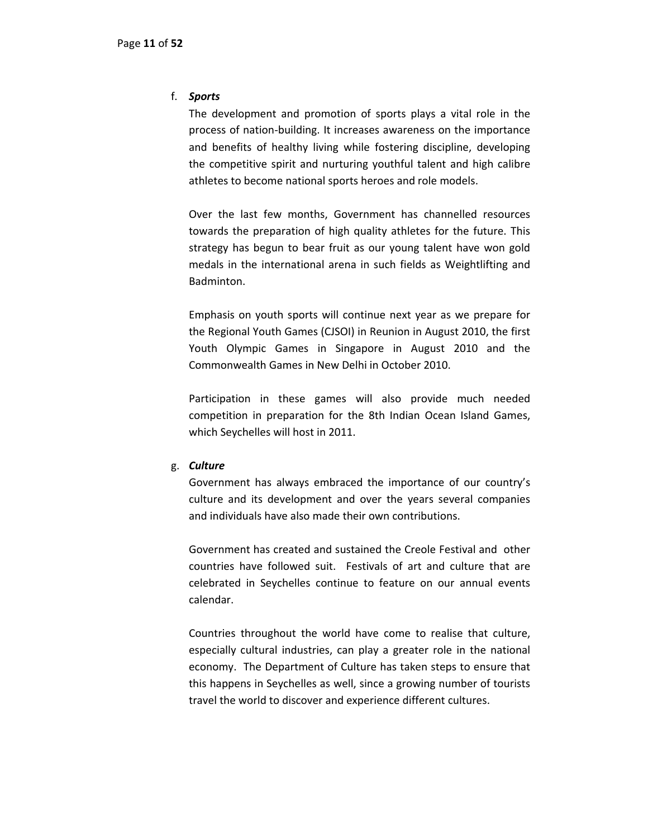## f. *Sports*

The development and promotion of sports plays a vital role in the process of nation‐building. It increases awareness on the importance and benefits of healthy living while fostering discipline, developing the competitive spirit and nurturing youthful talent and high calibre athletes to become national sports heroes and role models.

Over the last few months, Government has channelled resources towards the preparation of high quality athletes for the future. This strategy has begun to bear fruit as our young talent have won gold medals in the international arena in such fields as Weightlifting and Badminton.

Emphasis on youth sports will continue next year as we prepare for the Regional Youth Games (CJSOI) in Reunion in August 2010, the first Youth Olympic Games in Singapore in August 2010 and the Commonwealth Games in New Delhi in October 2010.

Participation in these games will also provide much needed competition in preparation for the 8th Indian Ocean Island Games, which Seychelles will host in 2011.

## g. *Culture*

Government has always embraced the importance of our country's culture and its development and over the years several companies and individuals have also made their own contributions.

Government has created and sustained the Creole Festival and other countries have followed suit. Festivals of art and culture that are celebrated in Seychelles continue to feature on our annual events calendar.

Countries throughout the world have come to realise that culture, especially cultural industries, can play a greater role in the national economy. The Department of Culture has taken steps to ensure that this happens in Seychelles as well, since a growing number of tourists travel the world to discover and experience different cultures.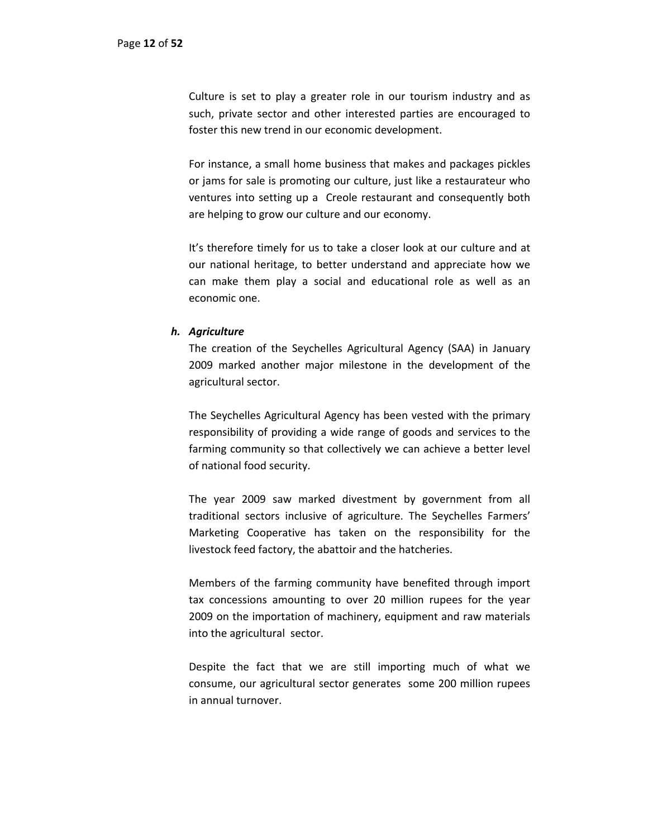Culture is set to play a greater role in our tourism industry and as such, private sector and other interested parties are encouraged to foster this new trend in our economic development.

For instance, a small home business that makes and packages pickles or jams for sale is promoting our culture, just like a restaurateur who ventures into setting up a Creole restaurant and consequently both are helping to grow our culture and our economy.

It's therefore timely for us to take a closer look at our culture and at our national heritage, to better understand and appreciate how we can make them play a social and educational role as well as an economic one.

## *h. Agriculture*

The creation of the Seychelles Agricultural Agency (SAA) in January 2009 marked another major milestone in the development of the agricultural sector.

The Seychelles Agricultural Agency has been vested with the primary responsibility of providing a wide range of goods and services to the farming community so that collectively we can achieve a better level of national food security.

The year 2009 saw marked divestment by government from all traditional sectors inclusive of agriculture. The Seychelles Farmers' Marketing Cooperative has taken on the responsibility for the livestock feed factory, the abattoir and the hatcheries.

Members of the farming community have benefited through import tax concessions amounting to over 20 million rupees for the year 2009 on the importation of machinery, equipment and raw materials into the agricultural sector.

Despite the fact that we are still importing much of what we consume, our agricultural sector generates some 200 million rupees in annual turnover.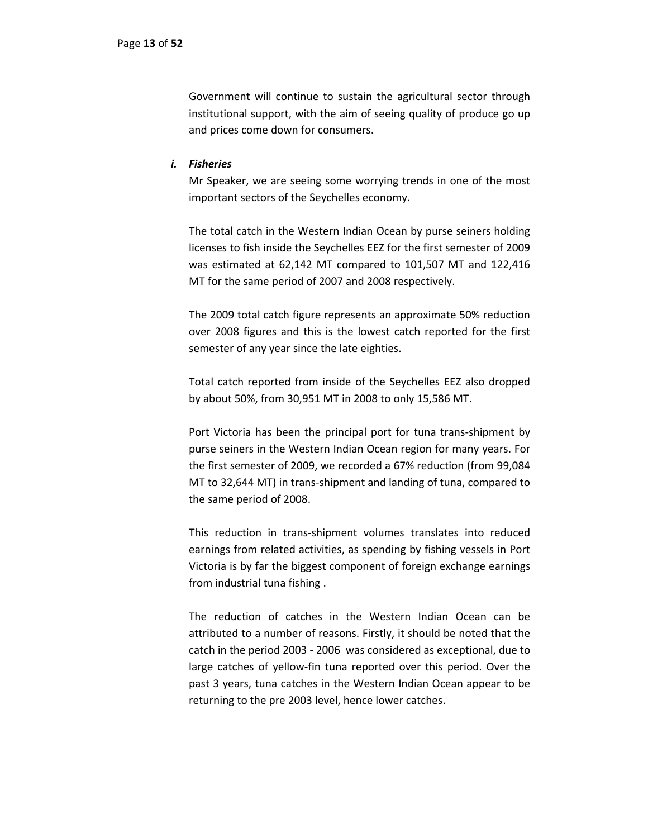Government will continue to sustain the agricultural sector through institutional support, with the aim of seeing quality of produce go up and prices come down for consumers.

#### *i. Fisheries*

Mr Speaker, we are seeing some worrying trends in one of the most important sectors of the Seychelles economy.

The total catch in the Western Indian Ocean by purse seiners holding licenses to fish inside the Seychelles EEZ for the first semester of 2009 was estimated at 62,142 MT compared to 101,507 MT and 122,416 MT for the same period of 2007 and 2008 respectively.

The 2009 total catch figure represents an approximate 50% reduction over 2008 figures and this is the lowest catch reported for the first semester of any year since the late eighties.

Total catch reported from inside of the Seychelles EEZ also dropped by about 50%, from 30,951 MT in 2008 to only 15,586 MT.

Port Victoria has been the principal port for tuna trans‐shipment by purse seiners in the Western Indian Ocean region for many years. For the first semester of 2009, we recorded a 67% reduction (from 99,084 MT to 32,644 MT) in trans‐shipment and landing of tuna, compared to the same period of 2008.

This reduction in trans‐shipment volumes translates into reduced earnings from related activities, as spending by fishing vessels in Port Victoria is by far the biggest component of foreign exchange earnings from industrial tuna fishing .

The reduction of catches in the Western Indian Ocean can be attributed to a number of reasons. Firstly, it should be noted that the catch in the period 2003 ‐ 2006 was considered as exceptional, due to large catches of yellow‐fin tuna reported over this period. Over the past 3 years, tuna catches in the Western Indian Ocean appear to be returning to the pre 2003 level, hence lower catches.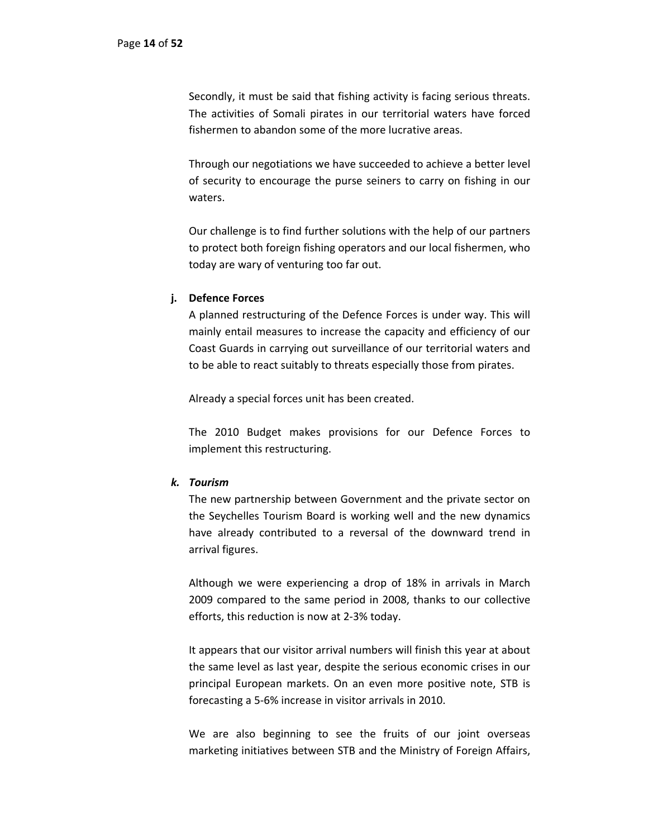Secondly, it must be said that fishing activity is facing serious threats. The activities of Somali pirates in our territorial waters have forced fishermen to abandon some of the more lucrative areas.

Through our negotiations we have succeeded to achieve a better level of security to encourage the purse seiners to carry on fishing in our waters.

Our challenge is to find further solutions with the help of our partners to protect both foreign fishing operators and our local fishermen, who today are wary of venturing too far out.

## **j. Defence Forces**

A planned restructuring of the Defence Forces is under way. This will mainly entail measures to increase the capacity and efficiency of our Coast Guards in carrying out surveillance of our territorial waters and to be able to react suitably to threats especially those from pirates.

Already a special forces unit has been created.

The 2010 Budget makes provisions for our Defence Forces to implement this restructuring.

## *k. Tourism*

The new partnership between Government and the private sector on the Seychelles Tourism Board is working well and the new dynamics have already contributed to a reversal of the downward trend in arrival figures.

Although we were experiencing a drop of 18% in arrivals in March 2009 compared to the same period in 2008, thanks to our collective efforts, this reduction is now at 2‐3% today.

It appears that our visitor arrival numbers will finish this year at about the same level as last year, despite the serious economic crises in our principal European markets. On an even more positive note, STB is forecasting a 5‐6% increase in visitor arrivals in 2010.

We are also beginning to see the fruits of our joint overseas marketing initiatives between STB and the Ministry of Foreign Affairs,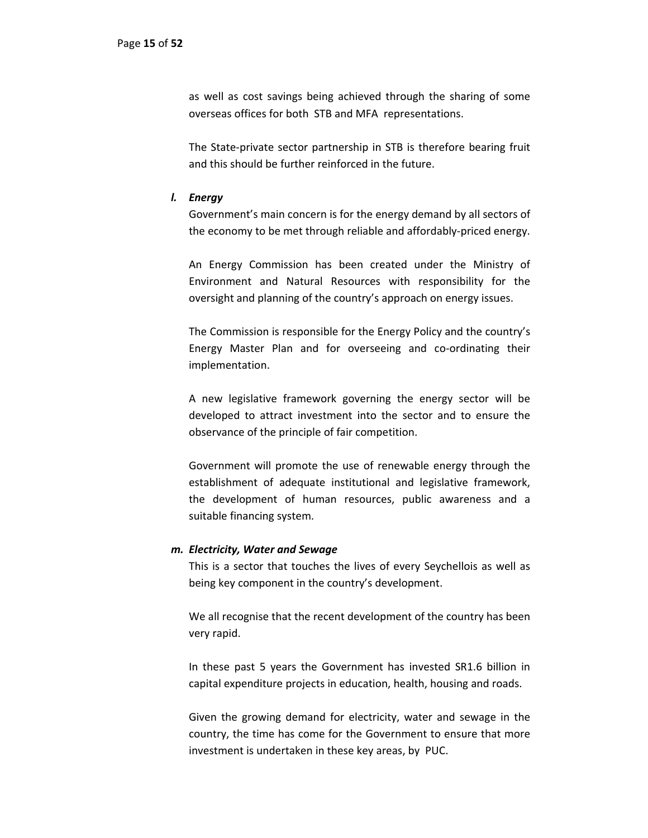as well as cost savings being achieved through the sharing of some overseas offices for both STB and MFA representations.

The State‐private sector partnership in STB is therefore bearing fruit and this should be further reinforced in the future.

#### *l. Energy*

Government's main concern is for the energy demand by all sectors of the economy to be met through reliable and affordably‐priced energy.

An Energy Commission has been created under the Ministry of Environment and Natural Resources with responsibility for the oversight and planning of the country's approach on energy issues.

The Commission is responsible for the Energy Policy and the country's Energy Master Plan and for overseeing and co-ordinating their implementation.

A new legislative framework governing the energy sector will be developed to attract investment into the sector and to ensure the observance of the principle of fair competition.

Government will promote the use of renewable energy through the establishment of adequate institutional and legislative framework, the development of human resources, public awareness and a suitable financing system.

#### *m. Electricity, Water and Sewage*

This is a sector that touches the lives of every Seychellois as well as being key component in the country's development.

We all recognise that the recent development of the country has been very rapid.

In these past 5 years the Government has invested SR1.6 billion in capital expenditure projects in education, health, housing and roads.

Given the growing demand for electricity, water and sewage in the country, the time has come for the Government to ensure that more investment is undertaken in these key areas, by PUC.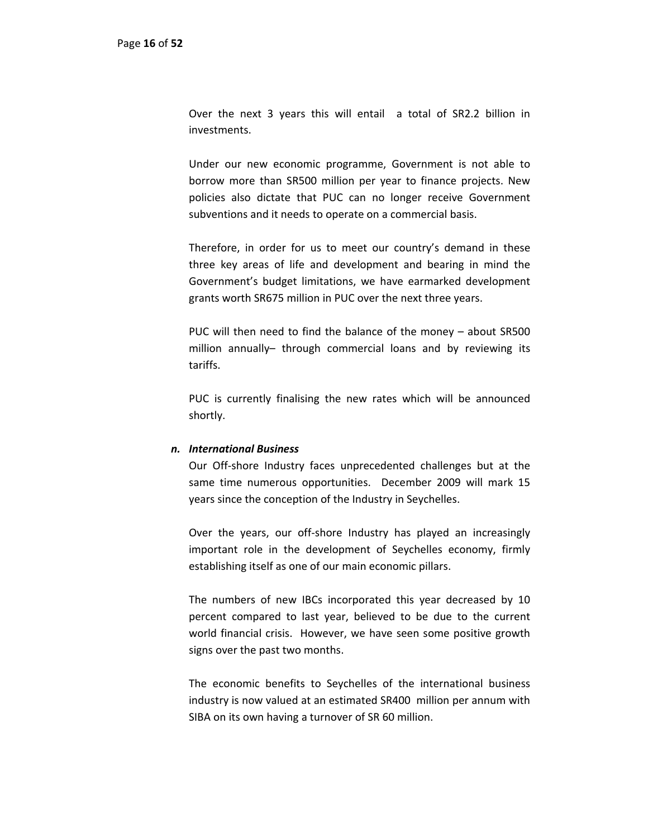Over the next 3 years this will entail a total of SR2.2 billion in investments.

Under our new economic programme, Government is not able to borrow more than SR500 million per year to finance projects. New policies also dictate that PUC can no longer receive Government subventions and it needs to operate on a commercial basis.

Therefore, in order for us to meet our country's demand in these three key areas of life and development and bearing in mind the Government's budget limitations, we have earmarked development grants worth SR675 million in PUC over the next three years.

PUC will then need to find the balance of the money – about SR500 million annually– through commercial loans and by reviewing its tariffs.

PUC is currently finalising the new rates which will be announced shortly.

#### *n. International Business*

Our Off‐shore Industry faces unprecedented challenges but at the same time numerous opportunities. December 2009 will mark 15 years since the conception of the Industry in Seychelles.

Over the years, our off‐shore Industry has played an increasingly important role in the development of Seychelles economy, firmly establishing itself as one of our main economic pillars.

The numbers of new IBCs incorporated this year decreased by 10 percent compared to last year, believed to be due to the current world financial crisis. However, we have seen some positive growth signs over the past two months.

The economic benefits to Seychelles of the international business industry is now valued at an estimated SR400 million per annum with SIBA on its own having a turnover of SR 60 million.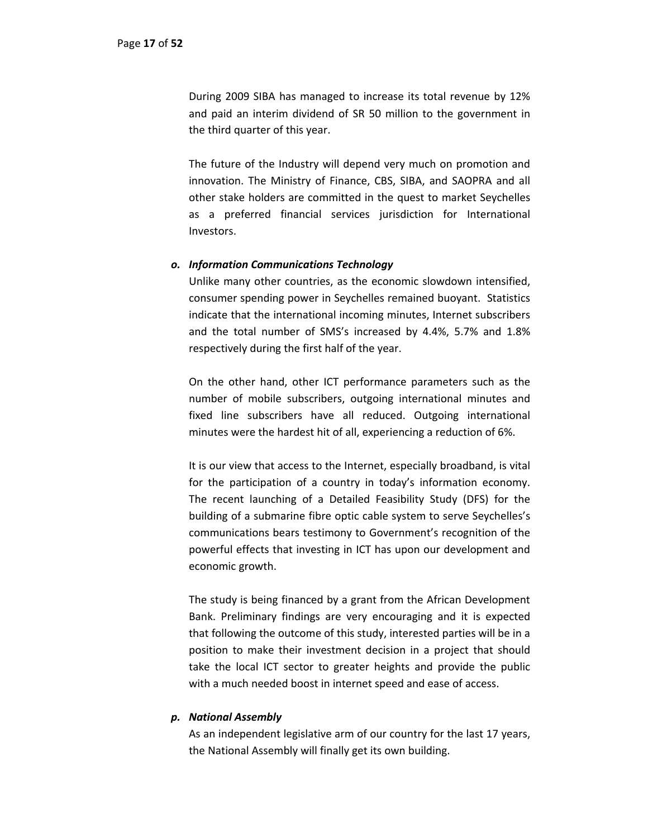During 2009 SIBA has managed to increase its total revenue by 12% and paid an interim dividend of SR 50 million to the government in the third quarter of this year.

The future of the Industry will depend very much on promotion and innovation. The Ministry of Finance, CBS, SIBA, and SAOPRA and all other stake holders are committed in the quest to market Seychelles as a preferred financial services jurisdiction for International Investors.

## *o. Information Communications Technology*

Unlike many other countries, as the economic slowdown intensified, consumer spending power in Seychelles remained buoyant. Statistics indicate that the international incoming minutes, Internet subscribers and the total number of SMS's increased by 4.4%, 5.7% and 1.8% respectively during the first half of the year.

On the other hand, other ICT performance parameters such as the number of mobile subscribers, outgoing international minutes and fixed line subscribers have all reduced. Outgoing international minutes were the hardest hit of all, experiencing a reduction of 6%.

It is our view that access to the Internet, especially broadband, is vital for the participation of a country in today's information economy. The recent launching of a Detailed Feasibility Study (DFS) for the building of a submarine fibre optic cable system to serve Seychelles's communications bears testimony to Government's recognition of the powerful effects that investing in ICT has upon our development and economic growth.

The study is being financed by a grant from the African Development Bank. Preliminary findings are very encouraging and it is expected that following the outcome of this study, interested parties will be in a position to make their investment decision in a project that should take the local ICT sector to greater heights and provide the public with a much needed boost in internet speed and ease of access.

## *p. National Assembly*

As an independent legislative arm of our country for the last 17 years, the National Assembly will finally get its own building.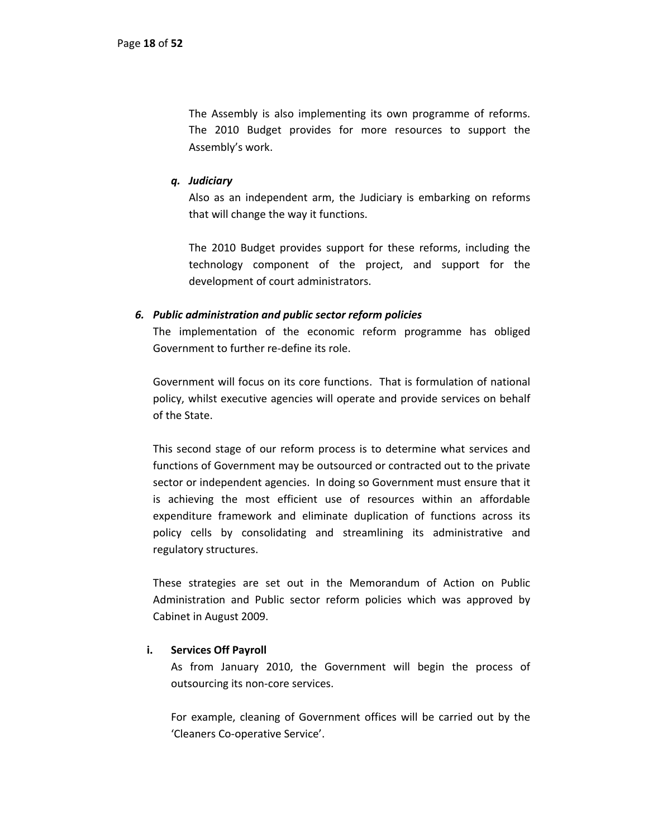The Assembly is also implementing its own programme of reforms. The 2010 Budget provides for more resources to support the Assembly's work.

## *q. Judiciary*

Also as an independent arm, the Judiciary is embarking on reforms that will change the way it functions.

The 2010 Budget provides support for these reforms, including the technology component of the project, and support for the development of court administrators.

## *6. Public administration and public sector reform policies*

The implementation of the economic reform programme has obliged Government to further re‐define its role.

Government will focus on its core functions. That is formulation of national policy, whilst executive agencies will operate and provide services on behalf of the State.

This second stage of our reform process is to determine what services and functions of Government may be outsourced or contracted out to the private sector or independent agencies. In doing so Government must ensure that it is achieving the most efficient use of resources within an affordable expenditure framework and eliminate duplication of functions across its policy cells by consolidating and streamlining its administrative and regulatory structures.

These strategies are set out in the Memorandum of Action on Public Administration and Public sector reform policies which was approved by Cabinet in August 2009.

## **i. Services Off Payroll**

As from January 2010, the Government will begin the process of outsourcing its non‐core services.

For example, cleaning of Government offices will be carried out by the 'Cleaners Co‐operative Service'.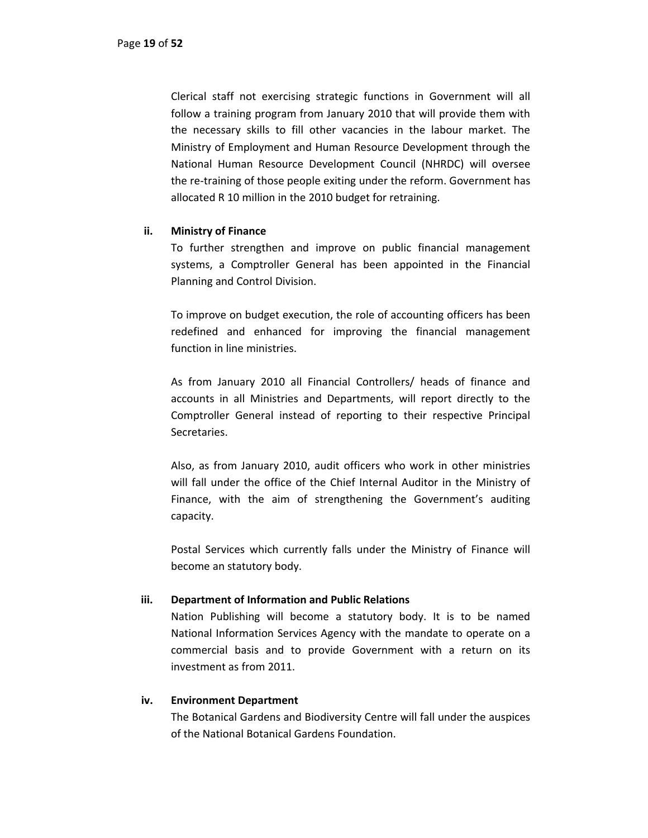Clerical staff not exercising strategic functions in Government will all follow a training program from January 2010 that will provide them with the necessary skills to fill other vacancies in the labour market. The Ministry of Employment and Human Resource Development through the National Human Resource Development Council (NHRDC) will oversee the re‐training of those people exiting under the reform. Government has allocated R 10 million in the 2010 budget for retraining.

## **ii. Ministry of Finance**

To further strengthen and improve on public financial management systems, a Comptroller General has been appointed in the Financial Planning and Control Division.

To improve on budget execution, the role of accounting officers has been redefined and enhanced for improving the financial management function in line ministries.

As from January 2010 all Financial Controllers/ heads of finance and accounts in all Ministries and Departments, will report directly to the Comptroller General instead of reporting to their respective Principal Secretaries.

Also, as from January 2010, audit officers who work in other ministries will fall under the office of the Chief Internal Auditor in the Ministry of Finance, with the aim of strengthening the Government's auditing capacity.

Postal Services which currently falls under the Ministry of Finance will become an statutory body.

## **iii. Department of Information and Public Relations**

Nation Publishing will become a statutory body. It is to be named National Information Services Agency with the mandate to operate on a commercial basis and to provide Government with a return on its investment as from 2011.

#### **iv. Environment Department**

The Botanical Gardens and Biodiversity Centre will fall under the auspices of the National Botanical Gardens Foundation.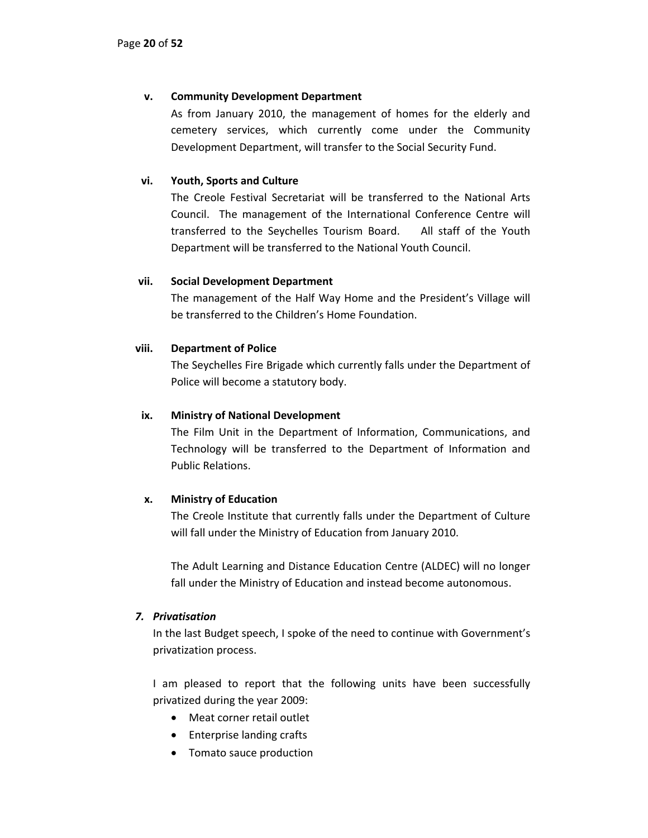# **v. Community Development Department**

As from January 2010, the management of homes for the elderly and cemetery services, which currently come under the Community Development Department, will transfer to the Social Security Fund.

# **vi. Youth, Sports and Culture**

The Creole Festival Secretariat will be transferred to the National Arts Council. The management of the International Conference Centre will transferred to the Seychelles Tourism Board. All staff of the Youth Department will be transferred to the National Youth Council.

## **vii. Social Development Department**

The management of the Half Way Home and the President's Village will be transferred to the Children's Home Foundation.

## **viii. Department of Police**

The Seychelles Fire Brigade which currently falls under the Department of Police will become a statutory body.

## **ix. Ministry of National Development**

The Film Unit in the Department of Information, Communications, and Technology will be transferred to the Department of Information and Public Relations.

# **x. Ministry of Education**

The Creole Institute that currently falls under the Department of Culture will fall under the Ministry of Education from January 2010.

The Adult Learning and Distance Education Centre (ALDEC) will no longer fall under the Ministry of Education and instead become autonomous.

## *7. Privatisation*

In the last Budget speech, I spoke of the need to continue with Government's privatization process.

I am pleased to report that the following units have been successfully privatized during the year 2009:

- Meat corner retail outlet
- Enterprise landing crafts
- Tomato sauce production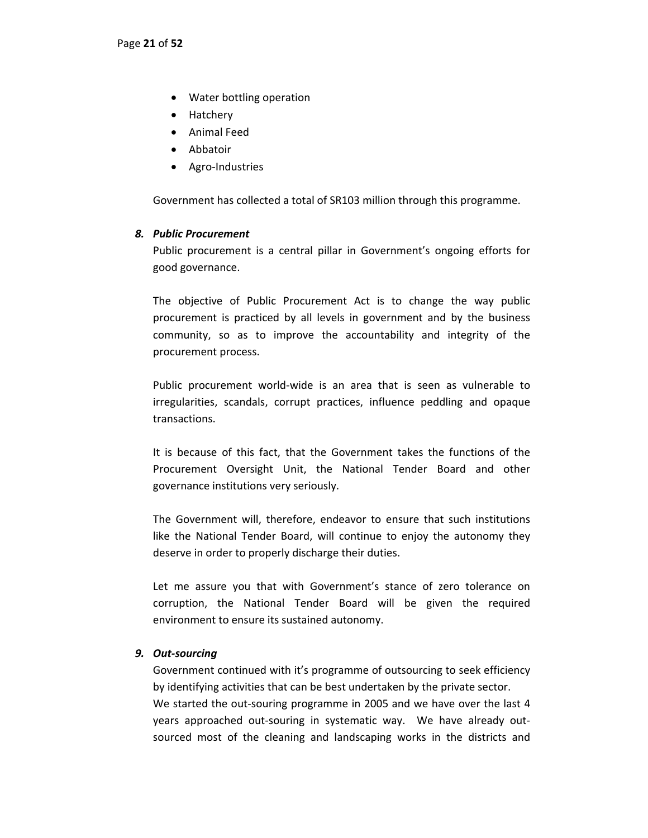- Water bottling operation
- Hatchery
- Animal Feed
- Abbatoir
- Agro‐Industries

Government has collected a total of SR103 million through this programme.

## *8. Public Procurement*

Public procurement is a central pillar in Government's ongoing efforts for good governance.

The objective of Public Procurement Act is to change the way public procurement is practiced by all levels in government and by the business community, so as to improve the accountability and integrity of the procurement process.

Public procurement world‐wide is an area that is seen as vulnerable to irregularities, scandals, corrupt practices, influence peddling and opaque transactions.

It is because of this fact, that the Government takes the functions of the Procurement Oversight Unit, the National Tender Board and other governance institutions very seriously.

The Government will, therefore, endeavor to ensure that such institutions like the National Tender Board, will continue to enjoy the autonomy they deserve in order to properly discharge their duties.

Let me assure you that with Government's stance of zero tolerance on corruption, the National Tender Board will be given the required environment to ensure its sustained autonomy.

# *9. Out‐sourcing*

Government continued with it's programme of outsourcing to seek efficiency by identifying activities that can be best undertaken by the private sector. We started the out-souring programme in 2005 and we have over the last 4 years approached out-souring in systematic way. We have already outsourced most of the cleaning and landscaping works in the districts and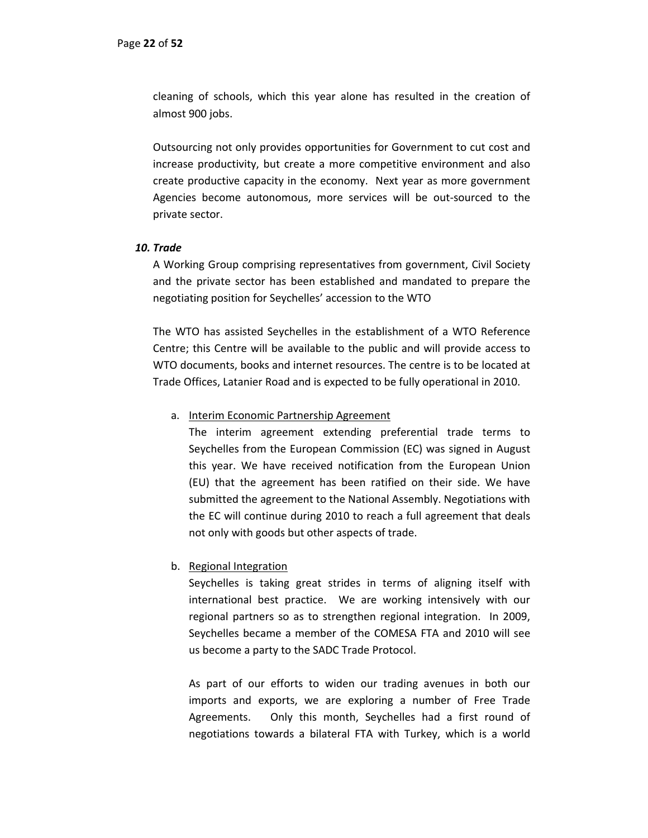cleaning of schools, which this year alone has resulted in the creation of almost 900 jobs.

Outsourcing not only provides opportunities for Government to cut cost and increase productivity, but create a more competitive environment and also create productive capacity in the economy. Next year as more government Agencies become autonomous, more services will be out‐sourced to the private sector.

## *10. Trade*

A Working Group comprising representatives from government, Civil Society and the private sector has been established and mandated to prepare the negotiating position for Seychelles' accession to the WTO

The WTO has assisted Seychelles in the establishment of a WTO Reference Centre; this Centre will be available to the public and will provide access to WTO documents, books and internet resources. The centre is to be located at Trade Offices, Latanier Road and is expected to be fully operational in 2010.

#### a. Interim Economic Partnership Agreement

The interim agreement extending preferential trade terms to Seychelles from the European Commission (EC) was signed in August this year. We have received notification from the European Union (EU) that the agreement has been ratified on their side. We have submitted the agreement to the National Assembly. Negotiations with the EC will continue during 2010 to reach a full agreement that deals not only with goods but other aspects of trade.

## b. Regional Integration

Seychelles is taking great strides in terms of aligning itself with international best practice. We are working intensively with our regional partners so as to strengthen regional integration. In 2009, Seychelles became a member of the COMESA FTA and 2010 will see us become a party to the SADC Trade Protocol.

As part of our efforts to widen our trading avenues in both our imports and exports, we are exploring a number of Free Trade Agreements. Only this month, Seychelles had a first round of negotiations towards a bilateral FTA with Turkey, which is a world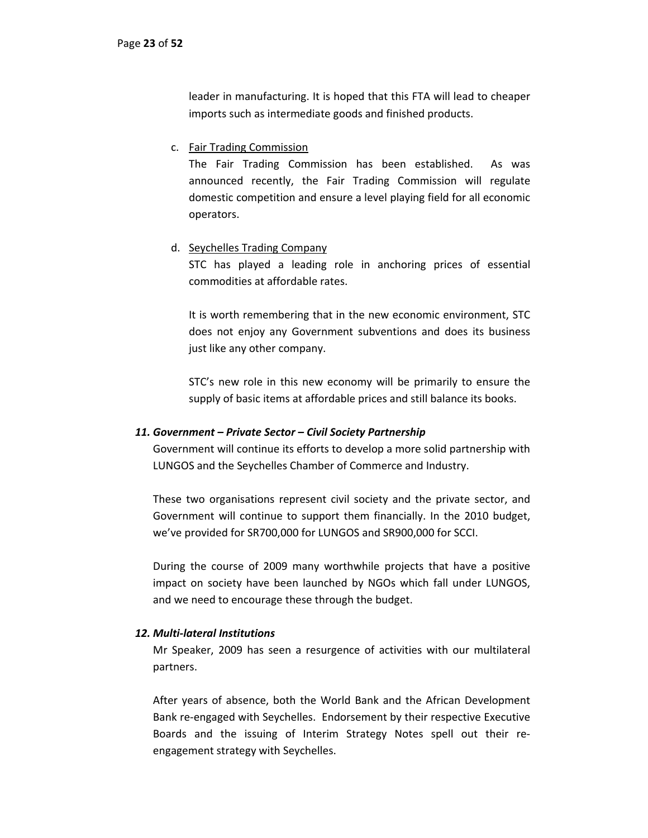leader in manufacturing. It is hoped that this FTA will lead to cheaper imports such as intermediate goods and finished products.

c. Fair Trading Commission

The Fair Trading Commission has been established. As was announced recently, the Fair Trading Commission will regulate domestic competition and ensure a level playing field for all economic operators.

## d. Seychelles Trading Company

STC has played a leading role in anchoring prices of essential commodities at affordable rates.

It is worth remembering that in the new economic environment, STC does not enjoy any Government subventions and does its business just like any other company.

STC's new role in this new economy will be primarily to ensure the supply of basic items at affordable prices and still balance its books.

## *11. Government – Private Sector – Civil Society Partnership*

Government will continue its efforts to develop a more solid partnership with LUNGOS and the Seychelles Chamber of Commerce and Industry.

These two organisations represent civil society and the private sector, and Government will continue to support them financially. In the 2010 budget, we've provided for SR700,000 for LUNGOS and SR900,000 for SCCI.

During the course of 2009 many worthwhile projects that have a positive impact on society have been launched by NGOs which fall under LUNGOS, and we need to encourage these through the budget.

## *12. Multi‐lateral Institutions*

Mr Speaker, 2009 has seen a resurgence of activities with our multilateral partners.

After years of absence, both the World Bank and the African Development Bank re‐engaged with Seychelles. Endorsement by their respective Executive Boards and the issuing of Interim Strategy Notes spell out their re‐ engagement strategy with Seychelles.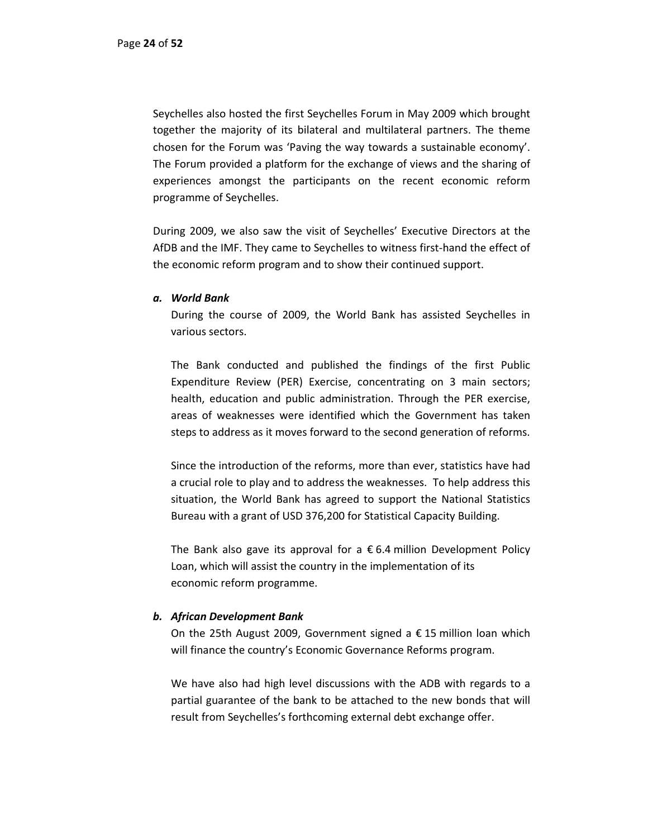Seychelles also hosted the first Seychelles Forum in May 2009 which brought together the majority of its bilateral and multilateral partners. The theme chosen for the Forum was 'Paving the way towards a sustainable economy'. The Forum provided a platform for the exchange of views and the sharing of experiences amongst the participants on the recent economic reform programme of Seychelles.

During 2009, we also saw the visit of Seychelles' Executive Directors at the AfDB and the IMF. They came to Seychelles to witness first‐hand the effect of the economic reform program and to show their continued support.

#### *a. World Bank*

During the course of 2009, the World Bank has assisted Seychelles in various sectors.

The Bank conducted and published the findings of the first Public Expenditure Review (PER) Exercise, concentrating on 3 main sectors; health, education and public administration. Through the PER exercise, areas of weaknesses were identified which the Government has taken steps to address as it moves forward to the second generation of reforms.

Since the introduction of the reforms, more than ever, statistics have had a crucial role to play and to address the weaknesses. To help address this situation, the World Bank has agreed to support the National Statistics Bureau with a grant of USD 376,200 for Statistical Capacity Building.

The Bank also gave its approval for a  $\epsilon$  6.4 million Development Policy Loan, which will assist the country in the implementation of its economic reform programme.

## *b. African Development Bank*

On the 25th August 2009, Government signed a  $\epsilon$  15 million loan which will finance the country's Economic Governance Reforms program.

We have also had high level discussions with the ADB with regards to a partial guarantee of the bank to be attached to the new bonds that will result from Seychelles's forthcoming external debt exchange offer.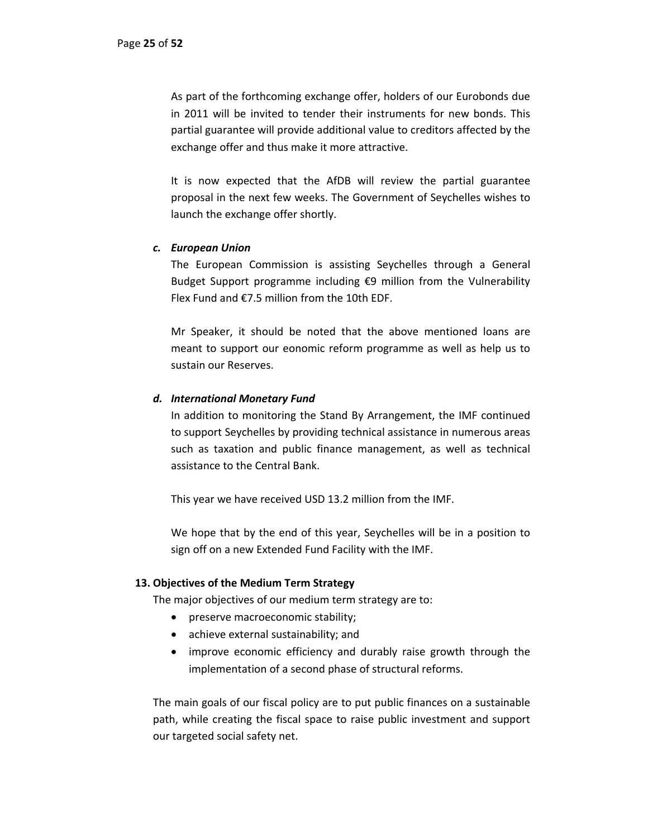As part of the forthcoming exchange offer, holders of our Eurobonds due in 2011 will be invited to tender their instruments for new bonds. This partial guarantee will provide additional value to creditors affected by the exchange offer and thus make it more attractive.

It is now expected that the AfDB will review the partial guarantee proposal in the next few weeks. The Government of Seychelles wishes to launch the exchange offer shortly.

## *c. European Union*

The European Commission is assisting Seychelles through a General Budget Support programme including €9 million from the Vulnerability Flex Fund and €7.5 million from the 10th EDF.

Mr Speaker, it should be noted that the above mentioned loans are meant to support our eonomic reform programme as well as help us to sustain our Reserves.

## *d. International Monetary Fund*

In addition to monitoring the Stand By Arrangement, the IMF continued to support Seychelles by providing technical assistance in numerous areas such as taxation and public finance management, as well as technical assistance to the Central Bank.

This year we have received USD 13.2 million from the IMF.

We hope that by the end of this year, Seychelles will be in a position to sign off on a new Extended Fund Facility with the IMF.

## **13. Objectives of the Medium Term Strategy**

The major objectives of our medium term strategy are to:

- preserve macroeconomic stability;
- achieve external sustainability; and
- improve economic efficiency and durably raise growth through the implementation of a second phase of structural reforms.

The main goals of our fiscal policy are to put public finances on a sustainable path, while creating the fiscal space to raise public investment and support our targeted social safety net.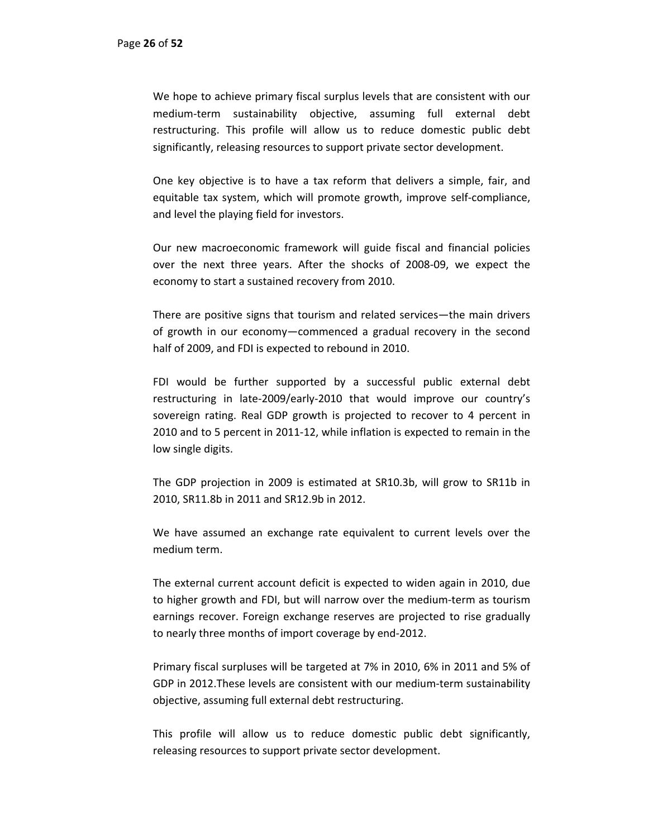We hope to achieve primary fiscal surplus levels that are consistent with our medium‐term sustainability objective, assuming full external debt restructuring. This profile will allow us to reduce domestic public debt significantly, releasing resources to support private sector development.

One key objective is to have a tax reform that delivers a simple, fair, and equitable tax system, which will promote growth, improve self‐compliance, and level the playing field for investors.

Our new macroeconomic framework will guide fiscal and financial policies over the next three years. After the shocks of 2008‐09, we expect the economy to start a sustained recovery from 2010.

There are positive signs that tourism and related services—the main drivers of growth in our economy—commenced a gradual recovery in the second half of 2009, and FDI is expected to rebound in 2010.

FDI would be further supported by a successful public external debt restructuring in late‐2009/early‐2010 that would improve our country's sovereign rating. Real GDP growth is projected to recover to 4 percent in 2010 and to 5 percent in 2011‐12, while inflation is expected to remain in the low single digits.

The GDP projection in 2009 is estimated at SR10.3b, will grow to SR11b in 2010, SR11.8b in 2011 and SR12.9b in 2012.

We have assumed an exchange rate equivalent to current levels over the medium term.

The external current account deficit is expected to widen again in 2010, due to higher growth and FDI, but will narrow over the medium‐term as tourism earnings recover. Foreign exchange reserves are projected to rise gradually to nearly three months of import coverage by end‐2012.

Primary fiscal surpluses will be targeted at 7% in 2010, 6% in 2011 and 5% of GDP in 2012.These levels are consistent with our medium‐term sustainability objective, assuming full external debt restructuring.

This profile will allow us to reduce domestic public debt significantly, releasing resources to support private sector development.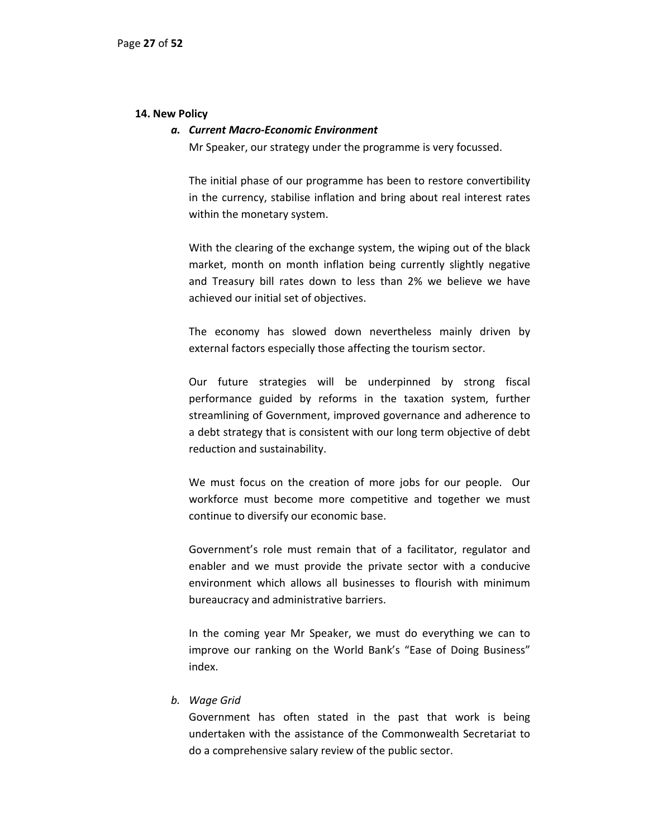#### **14. New Policy**

#### *a. Current Macro‐Economic Environment*

Mr Speaker, our strategy under the programme is very focussed.

The initial phase of our programme has been to restore convertibility in the currency, stabilise inflation and bring about real interest rates within the monetary system.

With the clearing of the exchange system, the wiping out of the black market, month on month inflation being currently slightly negative and Treasury bill rates down to less than 2% we believe we have achieved our initial set of objectives.

The economy has slowed down nevertheless mainly driven by external factors especially those affecting the tourism sector.

Our future strategies will be underpinned by strong fiscal performance guided by reforms in the taxation system, further streamlining of Government, improved governance and adherence to a debt strategy that is consistent with our long term objective of debt reduction and sustainability.

We must focus on the creation of more jobs for our people. Our workforce must become more competitive and together we must continue to diversify our economic base.

Government's role must remain that of a facilitator, regulator and enabler and we must provide the private sector with a conducive environment which allows all businesses to flourish with minimum bureaucracy and administrative barriers.

In the coming year Mr Speaker, we must do everything we can to improve our ranking on the World Bank's "Ease of Doing Business" index.

## *b. Wage Grid*

Government has often stated in the past that work is being undertaken with the assistance of the Commonwealth Secretariat to do a comprehensive salary review of the public sector.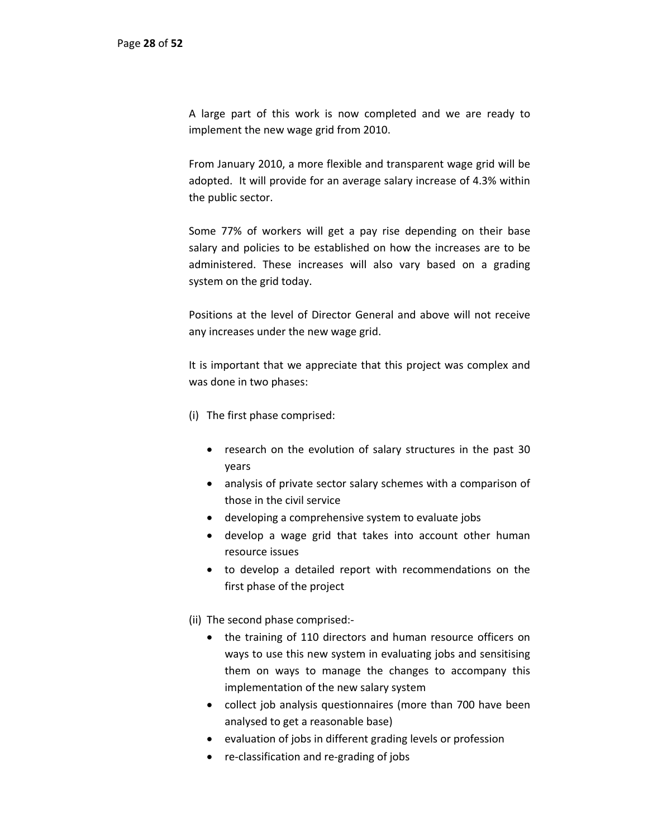A large part of this work is now completed and we are ready to implement the new wage grid from 2010.

From January 2010, a more flexible and transparent wage grid will be adopted. It will provide for an average salary increase of 4.3% within the public sector.

Some 77% of workers will get a pay rise depending on their base salary and policies to be established on how the increases are to be administered. These increases will also vary based on a grading system on the grid today.

Positions at the level of Director General and above will not receive any increases under the new wage grid.

It is important that we appreciate that this project was complex and was done in two phases:

- (i) The first phase comprised:
	- research on the evolution of salary structures in the past 30 years
	- analysis of private sector salary schemes with a comparison of those in the civil service
	- developing a comprehensive system to evaluate jobs
	- develop a wage grid that takes into account other human resource issues
	- to develop a detailed report with recommendations on the first phase of the project

(ii) The second phase comprised:‐

- the training of 110 directors and human resource officers on ways to use this new system in evaluating jobs and sensitising them on ways to manage the changes to accompany this implementation of the new salary system
- collect job analysis questionnaires (more than 700 have been analysed to get a reasonable base)
- evaluation of jobs in different grading levels or profession
- re-classification and re-grading of jobs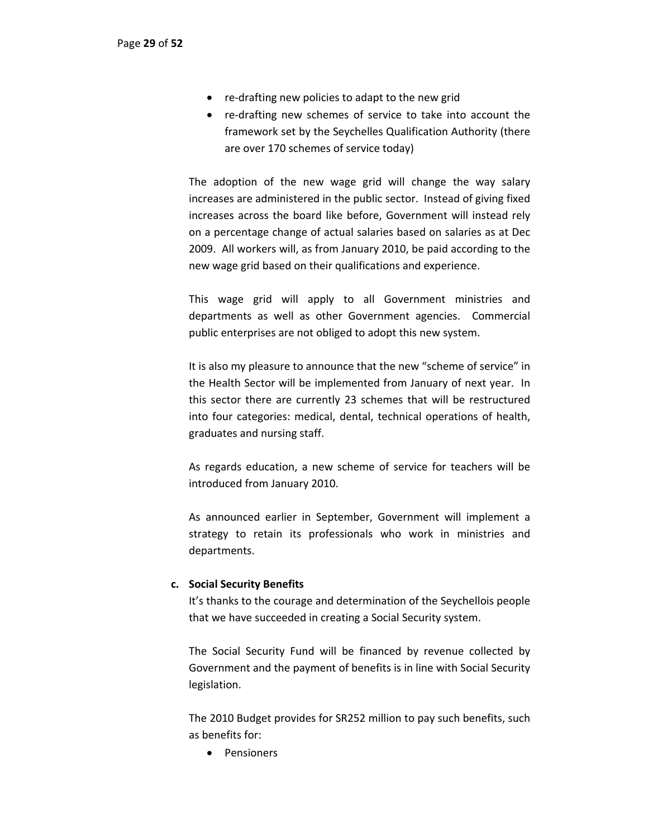- re-drafting new policies to adapt to the new grid
- re-drafting new schemes of service to take into account the framework set by the Seychelles Qualification Authority (there are over 170 schemes of service today)

The adoption of the new wage grid will change the way salary increases are administered in the public sector. Instead of giving fixed increases across the board like before, Government will instead rely on a percentage change of actual salaries based on salaries as at Dec 2009. All workers will, as from January 2010, be paid according to the new wage grid based on their qualifications and experience.

This wage grid will apply to all Government ministries and departments as well as other Government agencies. Commercial public enterprises are not obliged to adopt this new system.

It is also my pleasure to announce that the new "scheme of service" in the Health Sector will be implemented from January of next year. In this sector there are currently 23 schemes that will be restructured into four categories: medical, dental, technical operations of health, graduates and nursing staff.

As regards education, a new scheme of service for teachers will be introduced from January 2010.

As announced earlier in September, Government will implement a strategy to retain its professionals who work in ministries and departments.

## **c. Social Security Benefits**

It's thanks to the courage and determination of the Seychellois people that we have succeeded in creating a Social Security system.

The Social Security Fund will be financed by revenue collected by Government and the payment of benefits is in line with Social Security legislation.

The 2010 Budget provides for SR252 million to pay such benefits, such as benefits for:

• Pensioners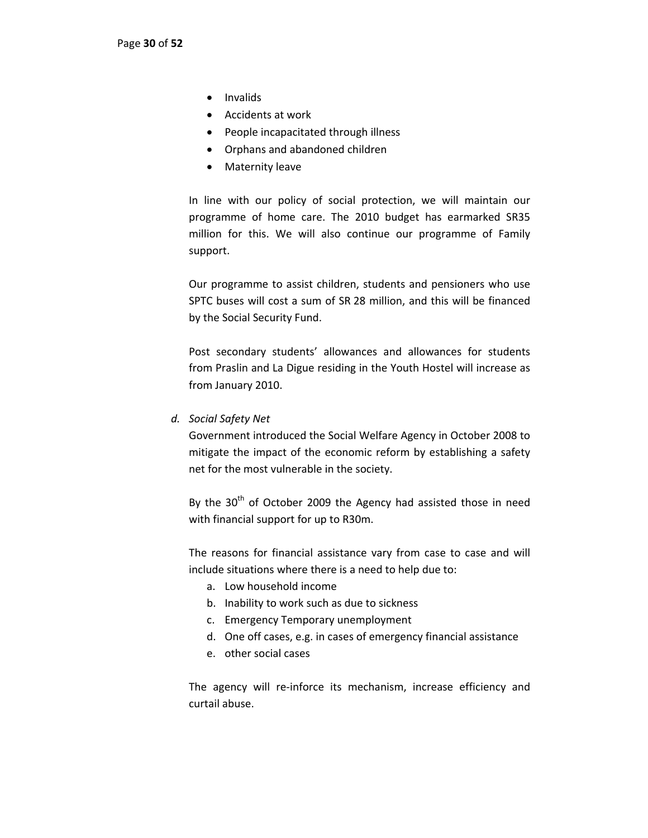- Invalids
- Accidents at work
- People incapacitated through illness
- Orphans and abandoned children
- Maternity leave

In line with our policy of social protection, we will maintain our programme of home care. The 2010 budget has earmarked SR35 million for this. We will also continue our programme of Family support.

Our programme to assist children, students and pensioners who use SPTC buses will cost a sum of SR 28 million, and this will be financed by the Social Security Fund.

Post secondary students' allowances and allowances for students from Praslin and La Digue residing in the Youth Hostel will increase as from January 2010.

*d. Social Safety Net*

Government introduced the Social Welfare Agency in October 2008 to mitigate the impact of the economic reform by establishing a safety net for the most vulnerable in the society.

By the  $30<sup>th</sup>$  of October 2009 the Agency had assisted those in need with financial support for up to R30m.

The reasons for financial assistance vary from case to case and will include situations where there is a need to help due to:

- a. Low household income
- b. Inability to work such as due to sickness
- c. Emergency Temporary unemployment
- d. One off cases, e.g. in cases of emergency financial assistance
- e. other social cases

The agency will re-inforce its mechanism, increase efficiency and curtail abuse.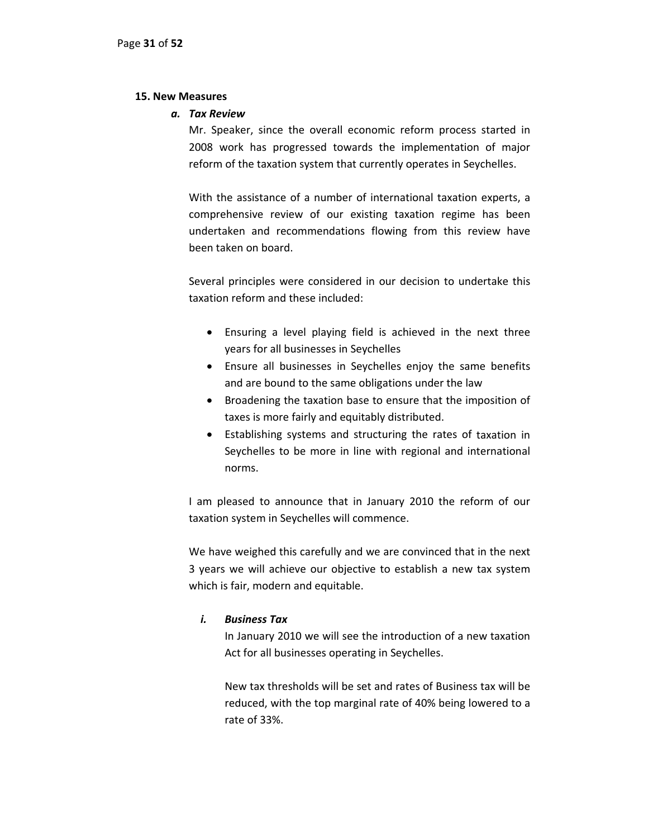#### **15. New Measures**

#### *a. Tax Review*

Mr. Speaker, since the overall economic reform process started in 2008 work has progressed towards the implementation of major reform of the taxation system that currently operates in Seychelles.

With the assistance of a number of international taxation experts, a comprehensive review of our existing taxation regime has been undertaken and recommendations flowing from this review have been taken on board.

Several principles were considered in our decision to undertake this taxation reform and these included:

- Ensuring a level playing field is achieved in the next three years for all businesses in Seychelles
- Ensure all businesses in Seychelles enjoy the same benefits and are bound to the same obligations under the law
- Broadening the taxation base to ensure that the imposition of taxes is more fairly and equitably distributed.
- Establishing systems and structuring the rates of taxation in Seychelles to be more in line with regional and international norms.

I am pleased to announce that in January 2010 the reform of our taxation system in Seychelles will commence.

We have weighed this carefully and we are convinced that in the next 3 years we will achieve our objective to establish a new tax system which is fair, modern and equitable.

## *i. Business Tax*

In January 2010 we will see the introduction of a new taxation Act for all businesses operating in Seychelles.

New tax thresholds will be set and rates of Business tax will be reduced, with the top marginal rate of 40% being lowered to a rate of 33%.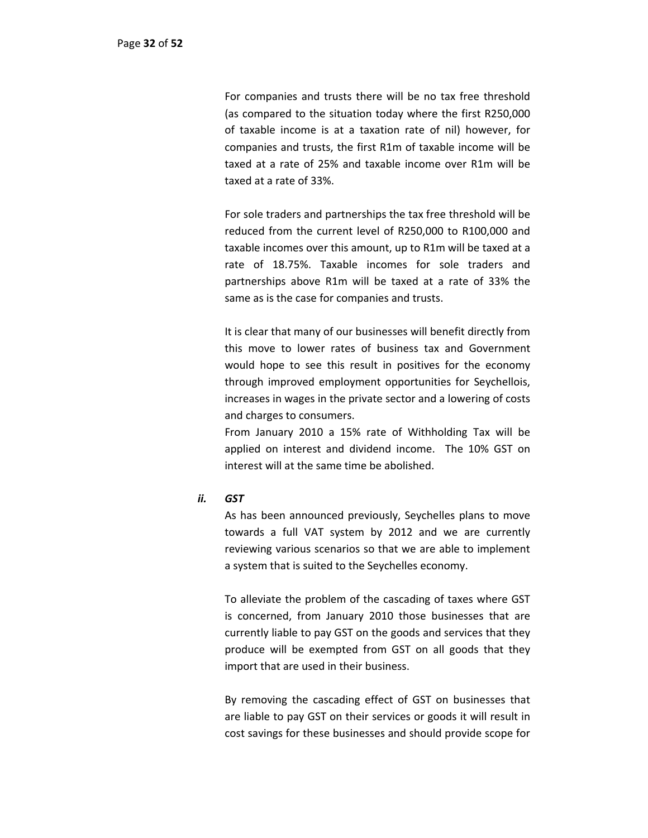For companies and trusts there will be no tax free threshold (as compared to the situation today where the first R250,000 of taxable income is at a taxation rate of nil) however, for companies and trusts, the first R1m of taxable income will be taxed at a rate of 25% and taxable income over R1m will be taxed at a rate of 33%.

For sole traders and partnerships the tax free threshold will be reduced from the current level of R250,000 to R100,000 and taxable incomes over this amount, up to R1m will be taxed at a rate of 18.75%. Taxable incomes for sole traders and partnerships above R1m will be taxed at a rate of 33% the same as is the case for companies and trusts.

It is clear that many of our businesses will benefit directly from this move to lower rates of business tax and Government would hope to see this result in positives for the economy through improved employment opportunities for Seychellois, increases in wages in the private sector and a lowering of costs and charges to consumers.

From January 2010 a 15% rate of Withholding Tax will be applied on interest and dividend income. The 10% GST on interest will at the same time be abolished.

## *ii. GST*

As has been announced previously, Seychelles plans to move towards a full VAT system by 2012 and we are currently reviewing various scenarios so that we are able to implement a system that is suited to the Seychelles economy.

To alleviate the problem of the cascading of taxes where GST is concerned, from January 2010 those businesses that are currently liable to pay GST on the goods and services that they produce will be exempted from GST on all goods that they import that are used in their business.

By removing the cascading effect of GST on businesses that are liable to pay GST on their services or goods it will result in cost savings for these businesses and should provide scope for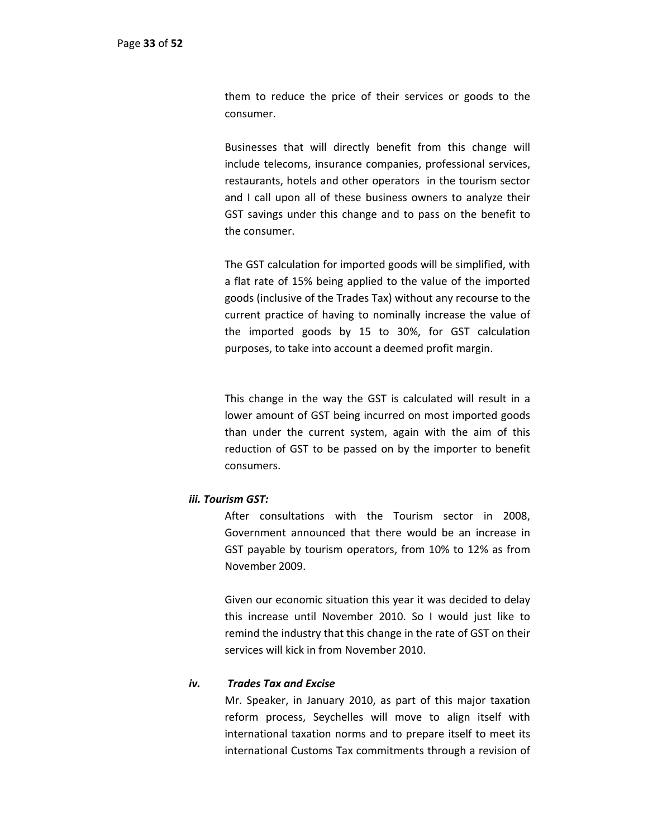them to reduce the price of their services or goods to the consumer.

Businesses that will directly benefit from this change will include telecoms, insurance companies, professional services, restaurants, hotels and other operators in the tourism sector and I call upon all of these business owners to analyze their GST savings under this change and to pass on the benefit to the consumer.

The GST calculation for imported goods will be simplified, with a flat rate of 15% being applied to the value of the imported goods (inclusive of the Trades Tax) without any recourse to the current practice of having to nominally increase the value of the imported goods by 15 to 30%, for GST calculation purposes, to take into account a deemed profit margin.

This change in the way the GST is calculated will result in a lower amount of GST being incurred on most imported goods than under the current system, again with the aim of this reduction of GST to be passed on by the importer to benefit consumers.

## *iii. Tourism GST:*

After consultations with the Tourism sector in 2008, Government announced that there would be an increase in GST payable by tourism operators, from 10% to 12% as from November 2009.

Given our economic situation this year it was decided to delay this increase until November 2010. So I would just like to remind the industry that this change in the rate of GST on their services will kick in from November 2010.

## *iv. Trades Tax and Excise*

Mr. Speaker, in January 2010, as part of this major taxation reform process, Seychelles will move to align itself with international taxation norms and to prepare itself to meet its international Customs Tax commitments through a revision of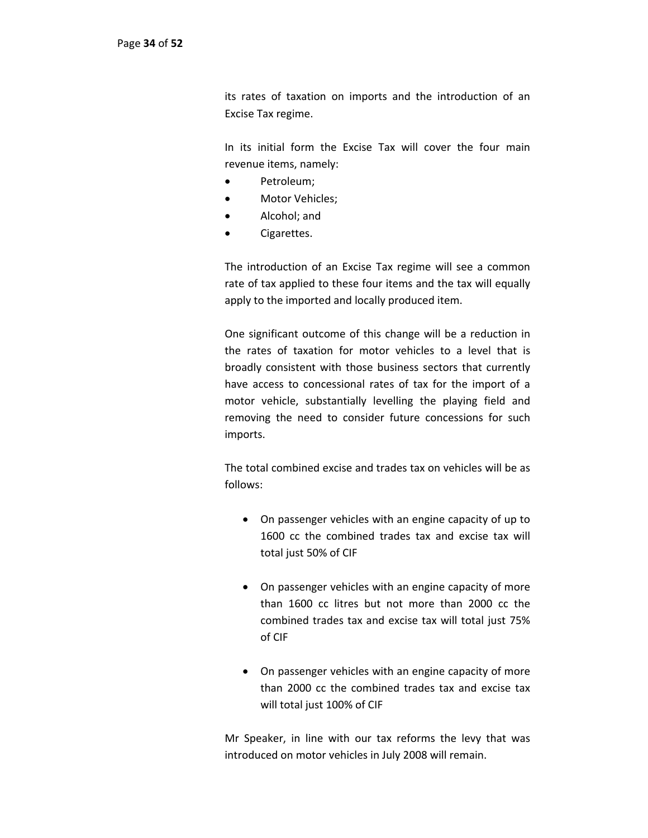its rates of taxation on imports and the introduction of an Excise Tax regime.

In its initial form the Excise Tax will cover the four main revenue items, namely:

- Petroleum;
- Motor Vehicles;
- Alcohol; and
- Cigarettes.

The introduction of an Excise Tax regime will see a common rate of tax applied to these four items and the tax will equally apply to the imported and locally produced item.

One significant outcome of this change will be a reduction in the rates of taxation for motor vehicles to a level that is broadly consistent with those business sectors that currently have access to concessional rates of tax for the import of a motor vehicle, substantially levelling the playing field and removing the need to consider future concessions for such imports.

The total combined excise and trades tax on vehicles will be as follows:

- On passenger vehicles with an engine capacity of up to 1600 cc the combined trades tax and excise tax will total just 50% of CIF
- On passenger vehicles with an engine capacity of more than 1600 cc litres but not more than 2000 cc the combined trades tax and excise tax will total just 75% of CIF
- On passenger vehicles with an engine capacity of more than 2000 cc the combined trades tax and excise tax will total just 100% of CIF

Mr Speaker, in line with our tax reforms the levy that was introduced on motor vehicles in July 2008 will remain.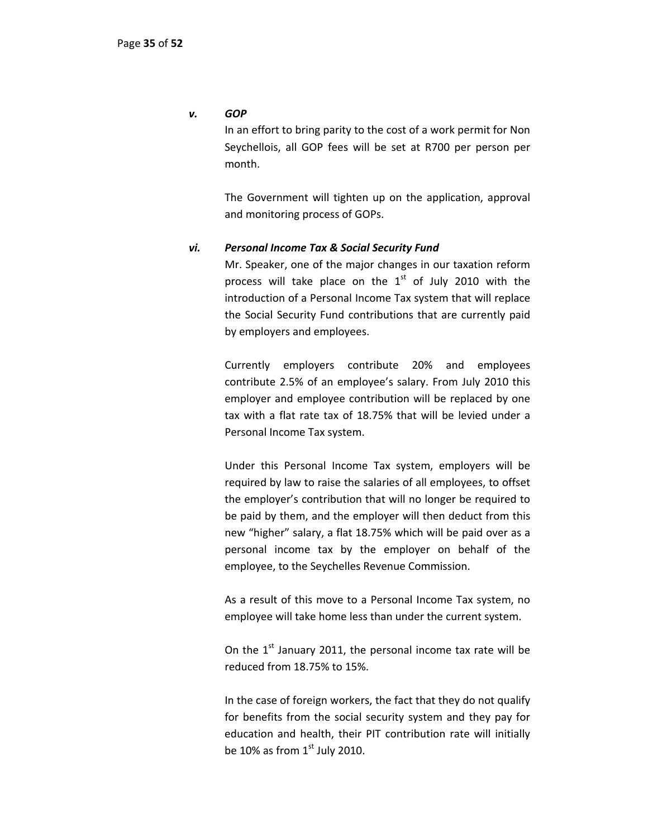#### *v. GOP*

In an effort to bring parity to the cost of a work permit for Non Seychellois, all GOP fees will be set at R700 per person per month.

The Government will tighten up on the application, approval and monitoring process of GOPs.

#### *vi. Personal Income Tax & Social Security Fund*

Mr. Speaker, one of the major changes in our taxation reform process will take place on the  $1<sup>st</sup>$  of July 2010 with the introduction of a Personal Income Tax system that will replace the Social Security Fund contributions that are currently paid by employers and employees.

Currently employers contribute 20% and employees contribute 2.5% of an employee's salary. From July 2010 this employer and employee contribution will be replaced by one tax with a flat rate tax of 18.75% that will be levied under a Personal Income Tax system.

Under this Personal Income Tax system, employers will be required by law to raise the salaries of all employees, to offset the employer's contribution that will no longer be required to be paid by them, and the employer will then deduct from this new "higher" salary, a flat 18.75% which will be paid over as a personal income tax by the employer on behalf of the employee, to the Seychelles Revenue Commission.

As a result of this move to a Personal Income Tax system, no employee will take home less than under the current system.

On the  $1<sup>st</sup>$  January 2011, the personal income tax rate will be reduced from 18.75% to 15%.

In the case of foreign workers, the fact that they do not qualify for benefits from the social security system and they pay for education and health, their PIT contribution rate will initially be 10% as from  $1<sup>st</sup>$  July 2010.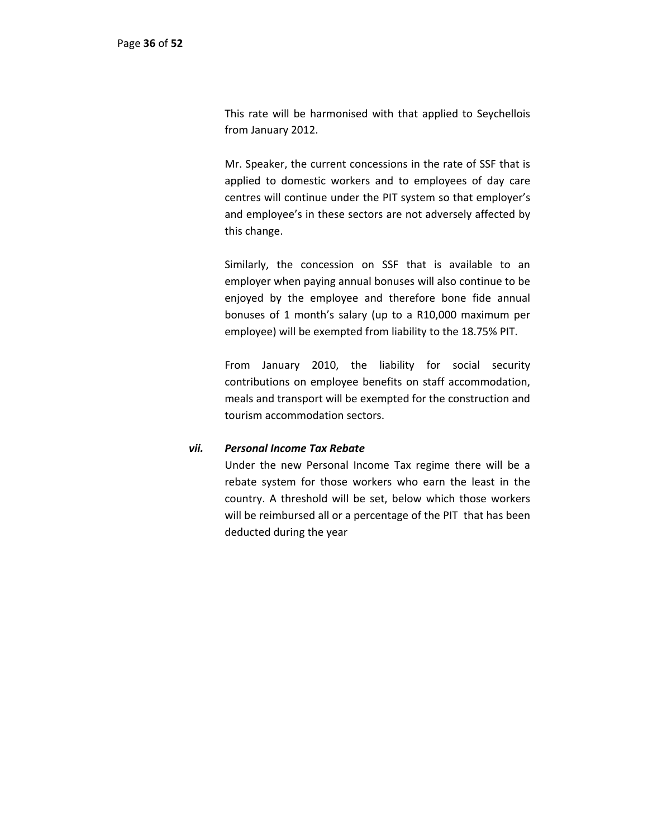This rate will be harmonised with that applied to Seychellois from January 2012.

Mr. Speaker, the current concessions in the rate of SSF that is applied to domestic workers and to employees of day care centres will continue under the PIT system so that employer's and employee's in these sectors are not adversely affected by this change.

Similarly, the concession on SSF that is available to an employer when paying annual bonuses will also continue to be enjoyed by the employee and therefore bone fide annual bonuses of 1 month's salary (up to a R10,000 maximum per employee) will be exempted from liability to the 18.75% PIT.

From January 2010, the liability for social security contributions on employee benefits on staff accommodation, meals and transport will be exempted for the construction and tourism accommodation sectors.

## *vii. Personal Income Tax Rebate*

Under the new Personal Income Tax regime there will be a rebate system for those workers who earn the least in the country. A threshold will be set, below which those workers will be reimbursed all or a percentage of the PIT that has been deducted during the year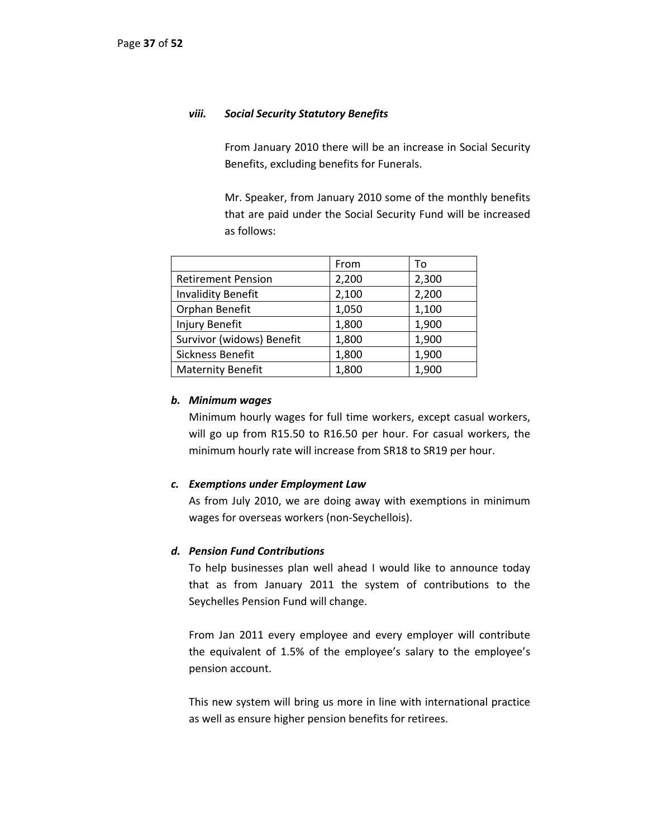#### *viii. Social Security Statutory Benefits*

From January 2010 there will be an increase in Social Security Benefits, excluding benefits for Funerals.

Mr. Speaker, from January 2010 some of the monthly benefits that are paid under the Social Security Fund will be increased as follows:

|                           | From  | To    |
|---------------------------|-------|-------|
| <b>Retirement Pension</b> | 2,200 | 2,300 |
| <b>Invalidity Benefit</b> | 2,100 | 2,200 |
| Orphan Benefit            | 1,050 | 1,100 |
| Injury Benefit            | 1,800 | 1,900 |
| Survivor (widows) Benefit | 1,800 | 1,900 |
| Sickness Benefit          | 1,800 | 1,900 |
| <b>Maternity Benefit</b>  | 1,800 | 1,900 |

#### *b. Minimum wages*

Minimum hourly wages for full time workers, except casual workers, will go up from R15.50 to R16.50 per hour. For casual workers, the minimum hourly rate will increase from SR18 to SR19 per hour.

#### *c. Exemptions under Employment Law*

As from July 2010, we are doing away with exemptions in minimum wages for overseas workers (non-Seychellois).

#### *d. Pension Fund Contributions*

To help businesses plan well ahead I would like to announce today that as from January 2011 the system of contributions to the Seychelles Pension Fund will change.

From Jan 2011 every employee and every employer will contribute the equivalent of 1.5% of the employee's salary to the employee's pension account.

This new system will bring us more in line with international practice as well as ensure higher pension benefits for retirees.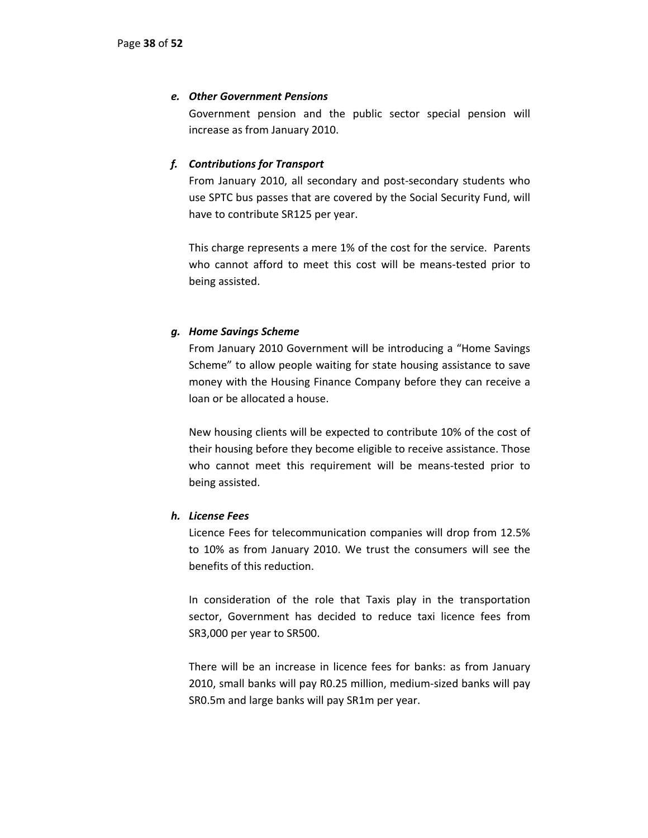## *e. Other Government Pensions*

Government pension and the public sector special pension will increase as from January 2010.

# *f. Contributions for Transport*

From January 2010, all secondary and post-secondary students who use SPTC bus passes that are covered by the Social Security Fund, will have to contribute SR125 per year.

This charge represents a mere 1% of the cost for the service. Parents who cannot afford to meet this cost will be means-tested prior to being assisted.

# *g. Home Savings Scheme*

From January 2010 Government will be introducing a "Home Savings Scheme" to allow people waiting for state housing assistance to save money with the Housing Finance Company before they can receive a loan or be allocated a house.

New housing clients will be expected to contribute 10% of the cost of their housing before they become eligible to receive assistance. Those who cannot meet this requirement will be means-tested prior to being assisted.

## *h. License Fees*

Licence Fees for telecommunication companies will drop from 12.5% to 10% as from January 2010. We trust the consumers will see the benefits of this reduction.

In consideration of the role that Taxis play in the transportation sector, Government has decided to reduce taxi licence fees from SR3,000 per year to SR500.

There will be an increase in licence fees for banks: as from January 2010, small banks will pay R0.25 million, medium‐sized banks will pay SR0.5m and large banks will pay SR1m per year.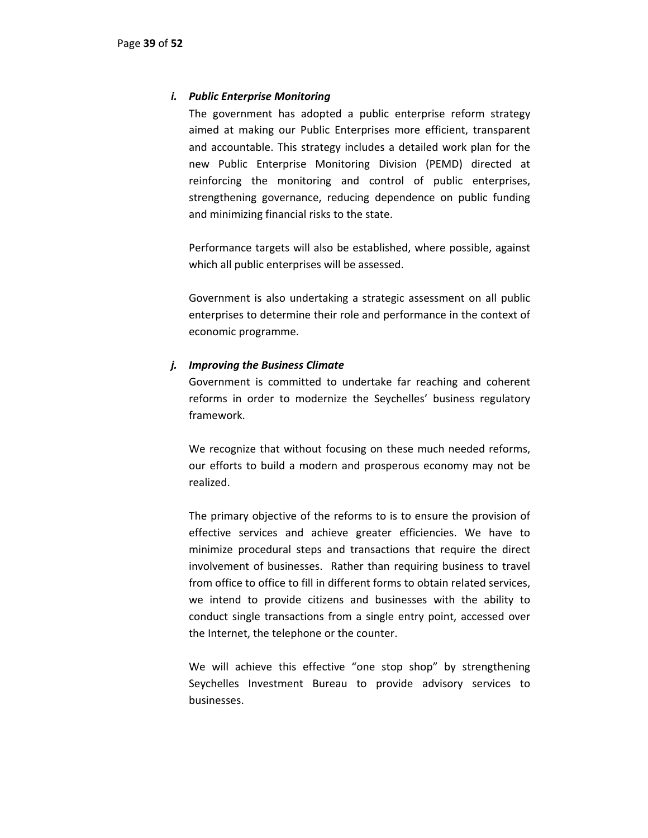## *i. Public Enterprise Monitoring*

The government has adopted a public enterprise reform strategy aimed at making our Public Enterprises more efficient, transparent and accountable. This strategy includes a detailed work plan for the new Public Enterprise Monitoring Division (PEMD) directed at reinforcing the monitoring and control of public enterprises, strengthening governance, reducing dependence on public funding and minimizing financial risks to the state.

Performance targets will also be established, where possible, against which all public enterprises will be assessed.

Government is also undertaking a strategic assessment on all public enterprises to determine their role and performance in the context of economic programme.

## *j. Improving the Business Climate*

Government is committed to undertake far reaching and coherent reforms in order to modernize the Seychelles' business regulatory framework.

We recognize that without focusing on these much needed reforms, our efforts to build a modern and prosperous economy may not be realized.

The primary objective of the reforms to is to ensure the provision of effective services and achieve greater efficiencies. We have to minimize procedural steps and transactions that require the direct involvement of businesses. Rather than requiring business to travel from office to office to fill in different forms to obtain related services, we intend to provide citizens and businesses with the ability to conduct single transactions from a single entry point, accessed over the Internet, the telephone or the counter.

We will achieve this effective "one stop shop" by strengthening Seychelles Investment Bureau to provide advisory services to businesses.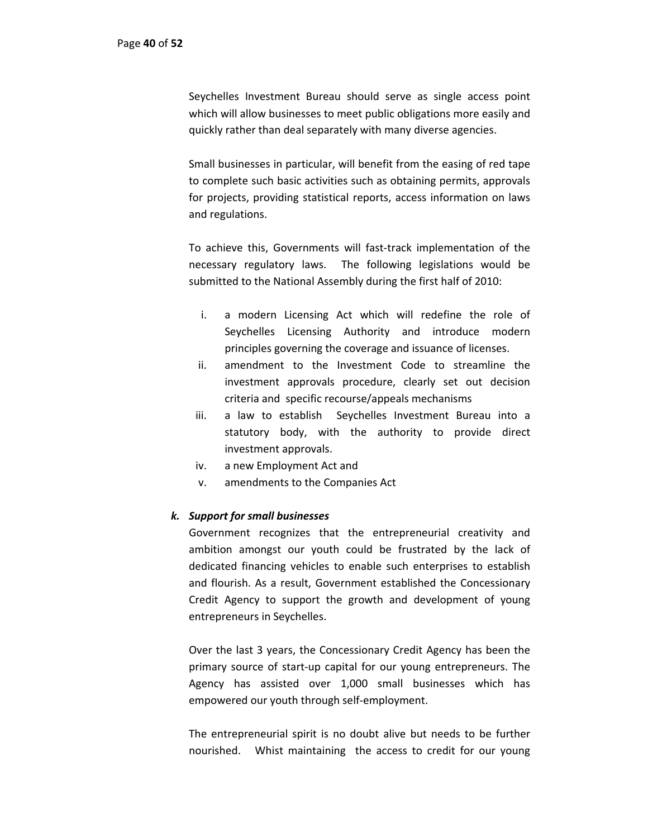Seychelles Investment Bureau should serve as single access point which will allow businesses to meet public obligations more easily and quickly rather than deal separately with many diverse agencies.

Small businesses in particular, will benefit from the easing of red tape to complete such basic activities such as obtaining permits, approvals for projects, providing statistical reports, access information on laws and regulations.

To achieve this, Governments will fast‐track implementation of the necessary regulatory laws. The following legislations would be submitted to the National Assembly during the first half of 2010:

- i. a modern Licensing Act which will redefine the role of Seychelles Licensing Authority and introduce modern principles governing the coverage and issuance of licenses.
- ii. amendment to the Investment Code to streamline the investment approvals procedure, clearly set out decision criteria and specific recourse/appeals mechanisms
- iii. a law to establish Seychelles Investment Bureau into a statutory body, with the authority to provide direct investment approvals.
- iv. a new Employment Act and
- v. amendments to the Companies Act

## *k. Support for small businesses*

Government recognizes that the entrepreneurial creativity and ambition amongst our youth could be frustrated by the lack of dedicated financing vehicles to enable such enterprises to establish and flourish. As a result, Government established the Concessionary Credit Agency to support the growth and development of young entrepreneurs in Seychelles.

Over the last 3 years, the Concessionary Credit Agency has been the primary source of start‐up capital for our young entrepreneurs. The Agency has assisted over 1,000 small businesses which has empowered our youth through self‐employment.

The entrepreneurial spirit is no doubt alive but needs to be further nourished. Whist maintaining the access to credit for our young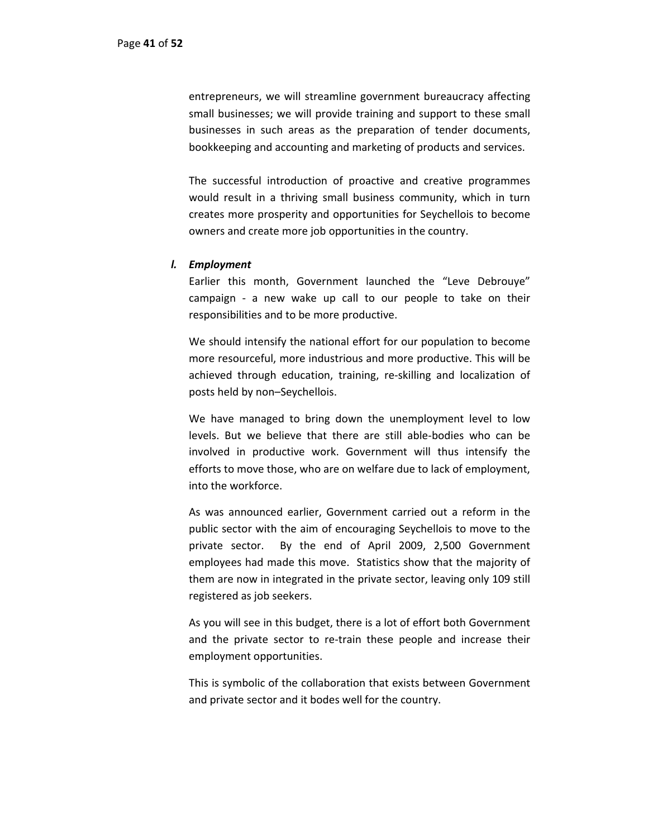entrepreneurs, we will streamline government bureaucracy affecting small businesses; we will provide training and support to these small businesses in such areas as the preparation of tender documents, bookkeeping and accounting and marketing of products and services.

The successful introduction of proactive and creative programmes would result in a thriving small business community, which in turn creates more prosperity and opportunities for Seychellois to become owners and create more job opportunities in the country.

#### *l. Employment*

Earlier this month, Government launched the "Leve Debrouye" campaign ‐ a new wake up call to our people to take on their responsibilities and to be more productive.

We should intensify the national effort for our population to become more resourceful, more industrious and more productive. This will be achieved through education, training, re‐skilling and localization of posts held by non–Seychellois.

We have managed to bring down the unemployment level to low levels. But we believe that there are still able‐bodies who can be involved in productive work. Government will thus intensify the efforts to move those, who are on welfare due to lack of employment, into the workforce.

As was announced earlier, Government carried out a reform in the public sector with the aim of encouraging Seychellois to move to the private sector. By the end of April 2009, 2,500 Government employees had made this move. Statistics show that the majority of them are now in integrated in the private sector, leaving only 109 still registered as job seekers.

As you will see in this budget, there is a lot of effort both Government and the private sector to re-train these people and increase their employment opportunities.

This is symbolic of the collaboration that exists between Government and private sector and it bodes well for the country.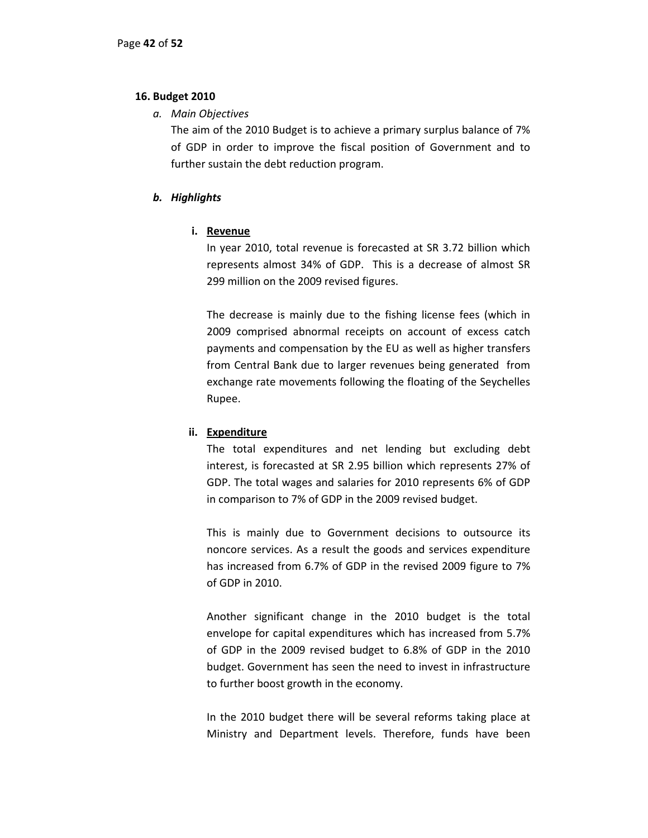## **16. Budget 2010**

*a. Main Objectives*

The aim of the 2010 Budget is to achieve a primary surplus balance of 7% of GDP in order to improve the fiscal position of Government and to further sustain the debt reduction program.

# *b. Highlights*

# **i. Revenue**

In year 2010, total revenue is forecasted at SR 3.72 billion which represents almost 34% of GDP. This is a decrease of almost SR 299 million on the 2009 revised figures.

The decrease is mainly due to the fishing license fees (which in 2009 comprised abnormal receipts on account of excess catch payments and compensation by the EU as well as higher transfers from Central Bank due to larger revenues being generated from exchange rate movements following the floating of the Seychelles Rupee.

# **ii. Expenditure**

The total expenditures and net lending but excluding debt interest, is forecasted at SR 2.95 billion which represents 27% of GDP. The total wages and salaries for 2010 represents 6% of GDP in comparison to 7% of GDP in the 2009 revised budget.

This is mainly due to Government decisions to outsource its noncore services. As a result the goods and services expenditure has increased from 6.7% of GDP in the revised 2009 figure to 7% of GDP in 2010.

Another significant change in the 2010 budget is the total envelope for capital expenditures which has increased from 5.7% of GDP in the 2009 revised budget to 6.8% of GDP in the 2010 budget. Government has seen the need to invest in infrastructure to further boost growth in the economy.

In the 2010 budget there will be several reforms taking place at Ministry and Department levels. Therefore, funds have been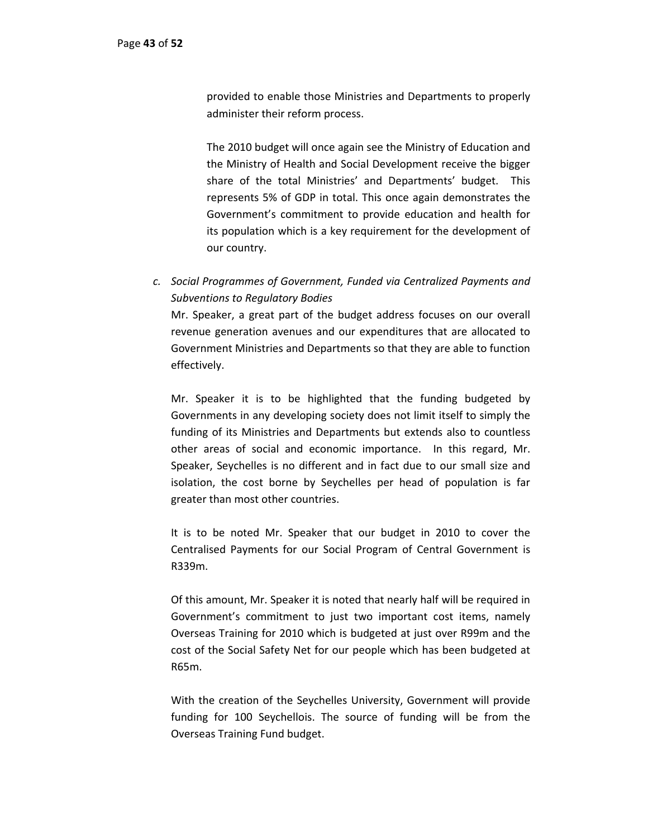provided to enable those Ministries and Departments to properly administer their reform process.

The 2010 budget will once again see the Ministry of Education and the Ministry of Health and Social Development receive the bigger share of the total Ministries' and Departments' budget. This represents 5% of GDP in total. This once again demonstrates the Government's commitment to provide education and health for its population which is a key requirement for the development of our country.

*c. Social Programmes of Government, Funded via Centralized Payments and Subventions to Regulatory Bodies*

Mr. Speaker, a great part of the budget address focuses on our overall revenue generation avenues and our expenditures that are allocated to Government Ministries and Departments so that they are able to function effectively.

Mr. Speaker it is to be highlighted that the funding budgeted by Governments in any developing society does not limit itself to simply the funding of its Ministries and Departments but extends also to countless other areas of social and economic importance. In this regard, Mr. Speaker, Seychelles is no different and in fact due to our small size and isolation, the cost borne by Seychelles per head of population is far greater than most other countries.

It is to be noted Mr. Speaker that our budget in 2010 to cover the Centralised Payments for our Social Program of Central Government is R339m.

Of this amount, Mr. Speaker it is noted that nearly half will be required in Government's commitment to just two important cost items, namely Overseas Training for 2010 which is budgeted at just over R99m and the cost of the Social Safety Net for our people which has been budgeted at R65m.

With the creation of the Seychelles University, Government will provide funding for 100 Seychellois. The source of funding will be from the Overseas Training Fund budget.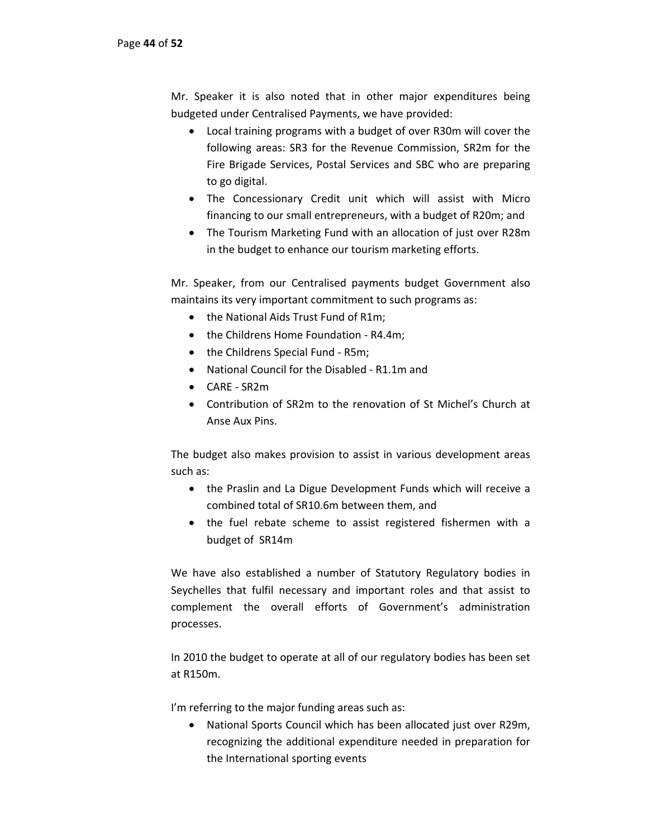Mr. Speaker it is also noted that in other major expenditures being budgeted under Centralised Payments, we have provided:

- Local training programs with a budget of over R30m will cover the following areas: SR3 for the Revenue Commission, SR2m for the Fire Brigade Services, Postal Services and SBC who are preparing to go digital.
- The Concessionary Credit unit which will assist with Micro financing to our small entrepreneurs, with a budget of R20m; and
- The Tourism Marketing Fund with an allocation of just over R28m in the budget to enhance our tourism marketing efforts.

Mr. Speaker, from our Centralised payments budget Government also maintains its very important commitment to such programs as:

- the National Aids Trust Fund of R1m;
- the Childrens Home Foundation R4.4m;
- the Childrens Special Fund R5m;
- National Council for the Disabled R1.1m and
- CARE ‐ SR2m
- Contribution of SR2m to the renovation of St Michel's Church at Anse Aux Pins.

The budget also makes provision to assist in various development areas such as:

- the Praslin and La Digue Development Funds which will receive a combined total of SR10.6m between them, and
- the fuel rebate scheme to assist registered fishermen with a budget of SR14m

We have also established a number of Statutory Regulatory bodies in Seychelles that fulfil necessary and important roles and that assist to complement the overall efforts of Government's administration processes.

In 2010 the budget to operate at all of our regulatory bodies has been set at R150m.

I'm referring to the major funding areas such as:

• National Sports Council which has been allocated just over R29m, recognizing the additional expenditure needed in preparation for the International sporting events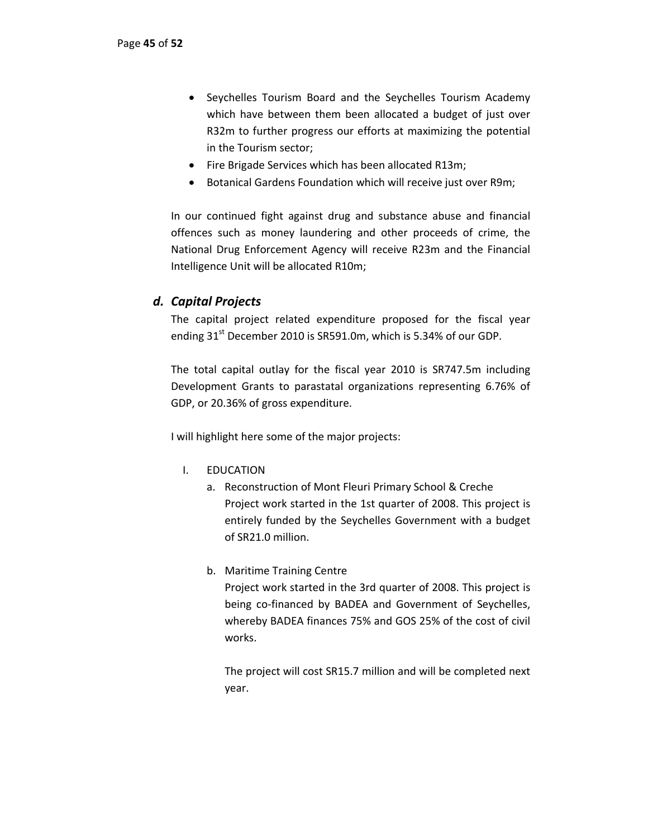- Seychelles Tourism Board and the Seychelles Tourism Academy which have between them been allocated a budget of just over R32m to further progress our efforts at maximizing the potential in the Tourism sector;
- Fire Brigade Services which has been allocated R13m;
- Botanical Gardens Foundation which will receive just over R9m;

In our continued fight against drug and substance abuse and financial offences such as money laundering and other proceeds of crime, the National Drug Enforcement Agency will receive R23m and the Financial Intelligence Unit will be allocated R10m;

# *d. Capital Projects*

The capital project related expenditure proposed for the fiscal year ending  $31<sup>st</sup>$  December 2010 is SR591.0m, which is 5.34% of our GDP.

The total capital outlay for the fiscal year 2010 is SR747.5m including Development Grants to parastatal organizations representing 6.76% of GDP, or 20.36% of gross expenditure.

I will highlight here some of the major projects:

- I. EDUCATION
	- a. Reconstruction of Mont Fleuri Primary School & Creche Project work started in the 1st quarter of 2008. This project is entirely funded by the Seychelles Government with a budget of SR21.0 million.
	- b. Maritime Training Centre

Project work started in the 3rd quarter of 2008. This project is being co-financed by BADEA and Government of Seychelles, whereby BADEA finances 75% and GOS 25% of the cost of civil works.

The project will cost SR15.7 million and will be completed next year.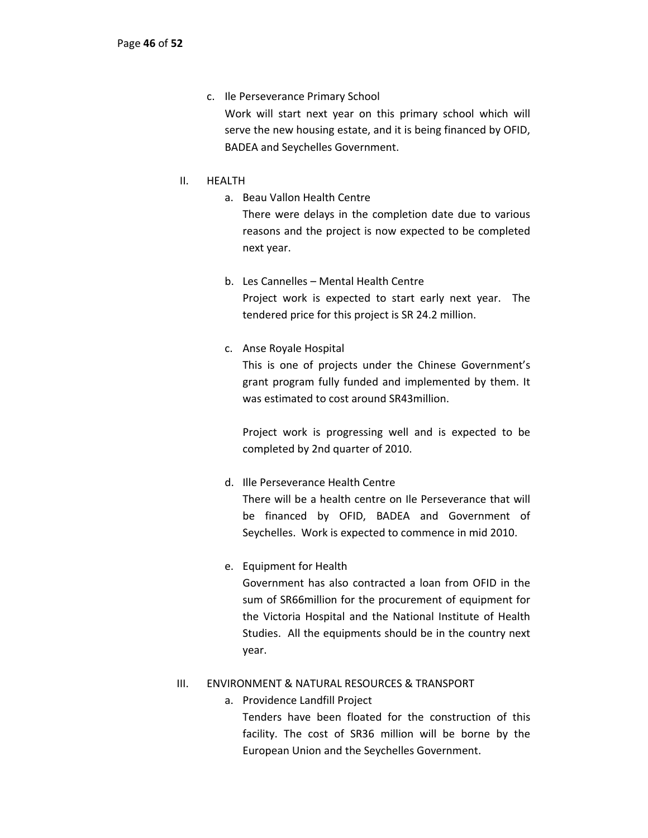- c. Ile Perseverance Primary School Work will start next year on this primary school which will serve the new housing estate, and it is being financed by OFID, BADEA and Seychelles Government.
- II. HEALTH
	- a. Beau Vallon Health Centre There were delays in the completion date due to various reasons and the project is now expected to be completed next year.
	- b. Les Cannelles Mental Health Centre Project work is expected to start early next year. The tendered price for this project is SR 24.2 million.
	- c. Anse Royale Hospital

This is one of projects under the Chinese Government's grant program fully funded and implemented by them. It was estimated to cost around SR43million.

Project work is progressing well and is expected to be completed by 2nd quarter of 2010.

d. Ille Perseverance Health Centre

There will be a health centre on Ile Perseverance that will be financed by OFID, BADEA and Government of Seychelles. Work is expected to commence in mid 2010.

e. Equipment for Health

Government has also contracted a loan from OFID in the sum of SR66million for the procurement of equipment for the Victoria Hospital and the National Institute of Health Studies. All the equipments should be in the country next year.

## III. ENVIRONMENT & NATURAL RESOURCES & TRANSPORT

a. Providence Landfill Project

Tenders have been floated for the construction of this facility. The cost of SR36 million will be borne by the European Union and the Seychelles Government.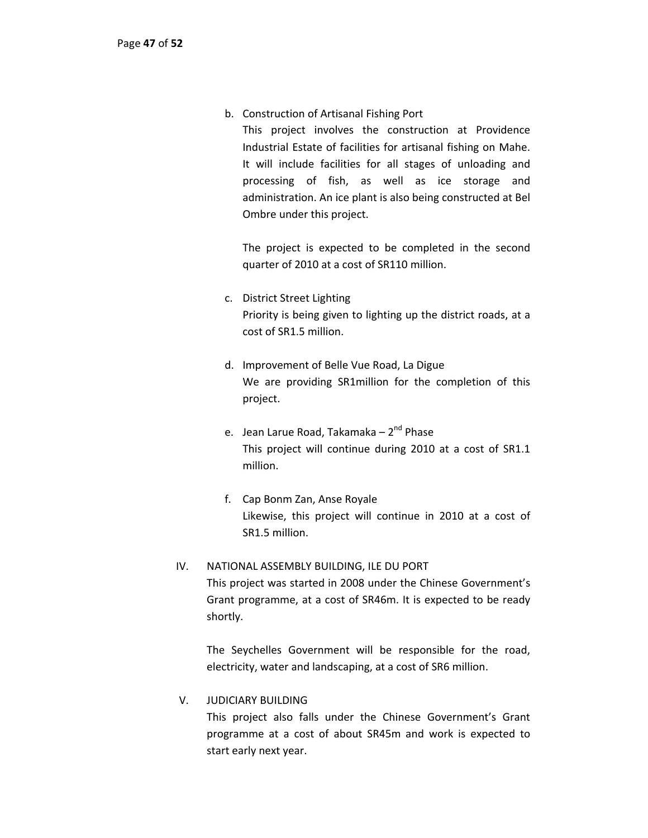b. Construction of Artisanal Fishing Port

This project involves the construction at Providence Industrial Estate of facilities for artisanal fishing on Mahe. It will include facilities for all stages of unloading and processing of fish, as well as ice storage and administration. An ice plant is also being constructed at Bel Ombre under this project.

The project is expected to be completed in the second quarter of 2010 at a cost of SR110 million.

- c. District Street Lighting Priority is being given to lighting up the district roads, at a cost of SR1.5 million.
- d. Improvement of Belle Vue Road, La Digue We are providing SR1million for the completion of this project.
- e. Jean Larue Road, Takamaka 2<sup>nd</sup> Phase This project will continue during 2010 at a cost of SR1.1 million.
- f. Cap Bonm Zan, Anse Royale Likewise, this project will continue in 2010 at a cost of SR1.5 million.

# IV. NATIONAL ASSEMBLY BUILDING, ILE DU PORT This project was started in 2008 under the Chinese Government's

Grant programme, at a cost of SR46m. It is expected to be ready shortly.

The Seychelles Government will be responsible for the road, electricity, water and landscaping, at a cost of SR6 million.

# V. JUDICIARY BUILDING

This project also falls under the Chinese Government's Grant programme at a cost of about SR45m and work is expected to start early next year.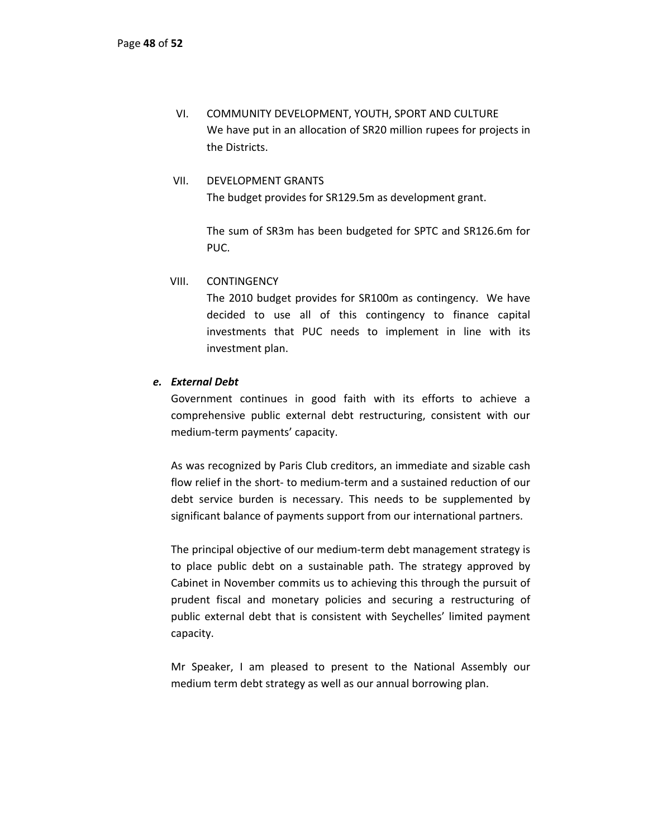VI. COMMUNITY DEVELOPMENT, YOUTH, SPORT AND CULTURE We have put in an allocation of SR20 million rupees for projects in the Districts.

# VII. DEVELOPMENT GRANTS The budget provides for SR129.5m as development grant.

The sum of SR3m has been budgeted for SPTC and SR126.6m for PUC.

VIII. CONTINGENCY

The 2010 budget provides for SR100m as contingency. We have decided to use all of this contingency to finance capital investments that PUC needs to implement in line with its investment plan.

# *e. External Debt*

Government continues in good faith with its efforts to achieve a comprehensive public external debt restructuring, consistent with our medium‐term payments' capacity.

As was recognized by Paris Club creditors, an immediate and sizable cash flow relief in the short‐ to medium‐term and a sustained reduction of our debt service burden is necessary. This needs to be supplemented by significant balance of payments support from our international partners.

The principal objective of our medium‐term debt management strategy is to place public debt on a sustainable path. The strategy approved by Cabinet in November commits us to achieving this through the pursuit of prudent fiscal and monetary policies and securing a restructuring of public external debt that is consistent with Seychelles' limited payment capacity.

Mr Speaker, I am pleased to present to the National Assembly our medium term debt strategy as well as our annual borrowing plan.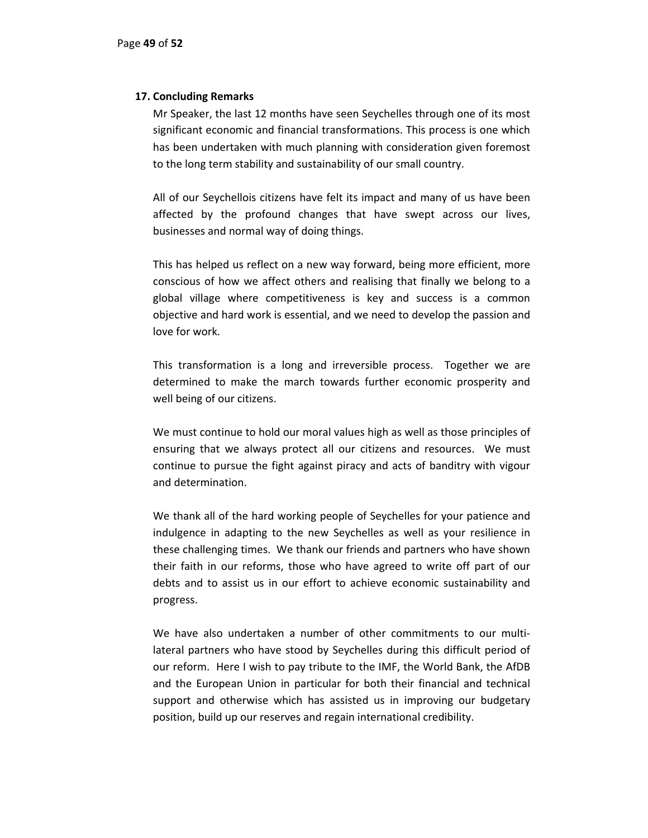## **17. Concluding Remarks**

Mr Speaker, the last 12 months have seen Seychelles through one of its most significant economic and financial transformations. This process is one which has been undertaken with much planning with consideration given foremost to the long term stability and sustainability of our small country.

All of our Seychellois citizens have felt its impact and many of us have been affected by the profound changes that have swept across our lives, businesses and normal way of doing things.

This has helped us reflect on a new way forward, being more efficient, more conscious of how we affect others and realising that finally we belong to a global village where competitiveness is key and success is a common objective and hard work is essential, and we need to develop the passion and love for work.

This transformation is a long and irreversible process. Together we are determined to make the march towards further economic prosperity and well being of our citizens.

We must continue to hold our moral values high as well as those principles of ensuring that we always protect all our citizens and resources. We must continue to pursue the fight against piracy and acts of banditry with vigour and determination.

We thank all of the hard working people of Seychelles for your patience and indulgence in adapting to the new Seychelles as well as your resilience in these challenging times. We thank our friends and partners who have shown their faith in our reforms, those who have agreed to write off part of our debts and to assist us in our effort to achieve economic sustainability and progress.

We have also undertaken a number of other commitments to our multilateral partners who have stood by Seychelles during this difficult period of our reform. Here I wish to pay tribute to the IMF, the World Bank, the AfDB and the European Union in particular for both their financial and technical support and otherwise which has assisted us in improving our budgetary position, build up our reserves and regain international credibility.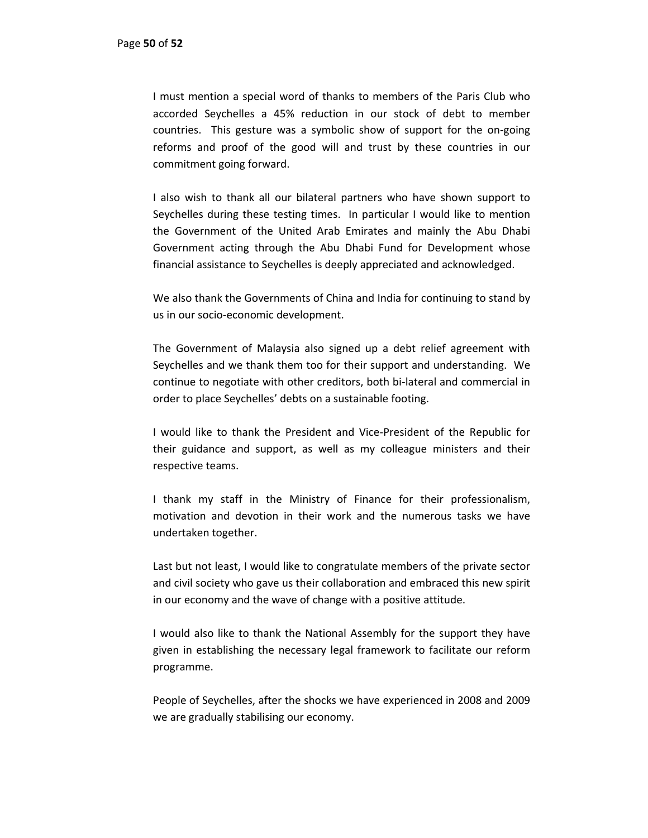I must mention a special word of thanks to members of the Paris Club who accorded Seychelles a 45% reduction in our stock of debt to member countries. This gesture was a symbolic show of support for the on‐going reforms and proof of the good will and trust by these countries in our commitment going forward.

I also wish to thank all our bilateral partners who have shown support to Seychelles during these testing times. In particular I would like to mention the Government of the United Arab Emirates and mainly the Abu Dhabi Government acting through the Abu Dhabi Fund for Development whose financial assistance to Seychelles is deeply appreciated and acknowledged.

We also thank the Governments of China and India for continuing to stand by us in our socio‐economic development.

The Government of Malaysia also signed up a debt relief agreement with Seychelles and we thank them too for their support and understanding. We continue to negotiate with other creditors, both bi‐lateral and commercial in order to place Seychelles' debts on a sustainable footing.

I would like to thank the President and Vice‐President of the Republic for their guidance and support, as well as my colleague ministers and their respective teams.

I thank my staff in the Ministry of Finance for their professionalism, motivation and devotion in their work and the numerous tasks we have undertaken together.

Last but not least, I would like to congratulate members of the private sector and civil society who gave us their collaboration and embraced this new spirit in our economy and the wave of change with a positive attitude.

I would also like to thank the National Assembly for the support they have given in establishing the necessary legal framework to facilitate our reform programme.

People of Seychelles, after the shocks we have experienced in 2008 and 2009 we are gradually stabilising our economy.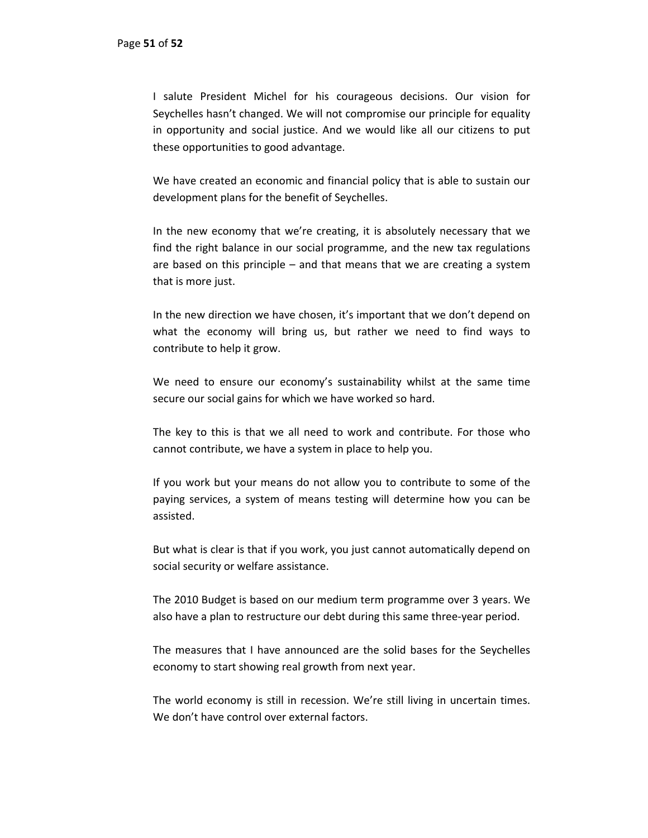I salute President Michel for his courageous decisions. Our vision for Seychelles hasn't changed. We will not compromise our principle for equality in opportunity and social justice. And we would like all our citizens to put these opportunities to good advantage.

We have created an economic and financial policy that is able to sustain our development plans for the benefit of Seychelles.

In the new economy that we're creating, it is absolutely necessary that we find the right balance in our social programme, and the new tax regulations are based on this principle – and that means that we are creating a system that is more just.

In the new direction we have chosen, it's important that we don't depend on what the economy will bring us, but rather we need to find ways to contribute to help it grow.

We need to ensure our economy's sustainability whilst at the same time secure our social gains for which we have worked so hard.

The key to this is that we all need to work and contribute. For those who cannot contribute, we have a system in place to help you.

If you work but your means do not allow you to contribute to some of the paying services, a system of means testing will determine how you can be assisted.

But what is clear is that if you work, you just cannot automatically depend on social security or welfare assistance.

The 2010 Budget is based on our medium term programme over 3 years. We also have a plan to restructure our debt during this same three‐year period.

The measures that I have announced are the solid bases for the Seychelles economy to start showing real growth from next year.

The world economy is still in recession. We're still living in uncertain times. We don't have control over external factors.